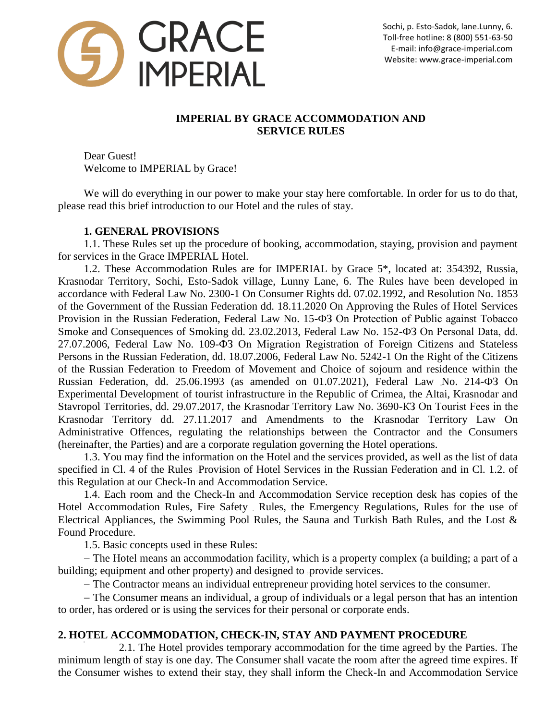

# **IMPERIAL BY GRACE ACCOMMODATION AND SERVICE RULES**

Dear Guest! Welcome to IMPERIAL by Grace!

We will do everything in our power to make your stay here comfortable. In order for us to do that, please read this brief introduction to our Hotel and the rules of stay.

## **1. GENERAL PROVISIONS**

1.1. These Rules set up the procedure of booking, accommodation, staying, provision and payment for services in the Grace IMPERIAL Hotel.

1.2. These Accommodation Rules are for IMPERIAL by Grace 5\*, located at: 354392, Russia, Krasnodar Territory, Sochi, Esto-Sadok village, Lunny Lane, 6. The Rules have been developed in accordance with Federal Law No. 2300-1 On Consumer Rights dd. 07.02.1992, and Resolution No. 1853 of the Government of the Russian Federation dd. 18.11.2020 On Approving the Rules of Hotel Services Provision in the Russian Federation, Federal Law No. 15-ФЗ On Protection of Public against Tobacco Smoke and Consequences of Smoking dd. 23.02.2013, Federal Law No. 152- $\Phi$ 3 On Personal Data, dd. 27.07.2006, Federal Law No. 109-ФЗ On Migration Registration of Foreign Citizens and Stateless Persons in the Russian Federation, dd. 18.07.2006, Federal Law No. 5242-1 On the Right of the Citizens of the Russian Federation to Freedom of Movement and Choice of sojourn and residence within the Russian Federation, dd. 25.06.1993 (as amended on 01.07.2021), Federal Law No. 214-ФЗ On Experimental Development of tourist infrastructure in the Republic of Crimea, the Altai, Krasnodar and Stavropol Territories, dd. 29.07.2017, the Krasnodar Territory Law No. 3690-КЗ On Tourist Fees in the Krasnodar Territory dd. 27.11.2017 and Amendments to the Krasnodar Territory Law On Administrative Offences, regulating the relationships between the Contractor and the Consumers (hereinafter, the Parties) and are a corporate regulation governing the Hotel operations.

1.3. You may find the information on the Hotel and the services provided, as well as the list of data specified in Cl. 4 of the Rules Provision of Hotel Services in the Russian Federation and in Cl. 1.2. of this Regulation at our Check-In and Accommodation Service.

1.4. Each room and the Check-In and Accommodation Service reception desk has copies of the Hotel Accommodation Rules, Fire Safety Rules, the Emergency Regulations, Rules for the use of Electrical Appliances, the Swimming Pool Rules, the Sauna and Turkish Bath Rules, and the Lost & Found Procedure.

1.5. Basic concepts used in these Rules:

 The Hotel means an accommodation facility, which is a property complex (a building; a part of a building; equipment and other property) and designed to provide services.

The Contractor means an individual entrepreneur providing hotel services to the consumer.

 The Consumer means an individual, a group of individuals or a legal person that has an intention to order, has ordered or is using the services for their personal or corporate ends.

# **2. HOTEL ACCOMMODATION, CHECK-IN, STAY AND PAYMENT PROCEDURE**

2.1. The Hotel provides temporary accommodation for the time agreed by the Parties. The minimum length of stay is one day. The Consumer shall vacate the room after the agreed time expires. If the Consumer wishes to extend their stay, they shall inform the Check-In and Accommodation Service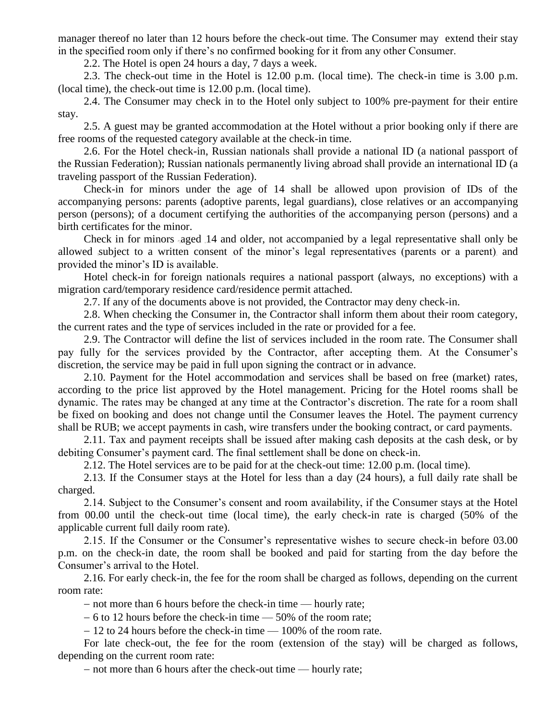manager thereof no later than 12 hours before the check-out time. The Consumer may extend their stay in the specified room only if there's no confirmed booking for it from any other Consumer.

2.2. The Hotel is open 24 hours a day, 7 days a week.

2.3. The check-out time in the Hotel is 12.00 p.m. (local time). The check-in time is 3.00 p.m. (local time), the check-out time is 12.00 p.m. (local time).

2.4. The Consumer may check in to the Hotel only subject to 100% pre-payment for their entire stay.

2.5. A guest may be granted accommodation at the Hotel without a prior booking only if there are free rooms of the requested category available at the check-in time.

2.6. For the Hotel check-in, Russian nationals shall provide a national ID (a national passport of the Russian Federation); Russian nationals permanently living abroad shall provide an international ID (a traveling passport of the Russian Federation).

Check-in for minors under the age of 14 shall be allowed upon provision of IDs of the accompanying persons: parents (adoptive parents, legal guardians), close relatives or an accompanying person (persons); of a document certifying the authorities of the accompanying person (persons) and a birth certificates for the minor.

Check in for minors aged 14 and older, not accompanied by a legal representative shall only be allowed subject to a written consent of the minor's legal representatives (parents or a parent) and provided the minor's ID is available.

Hotel check-in for foreign nationals requires a national passport (always, no exceptions) with a migration card/temporary residence card/residence permit attached.

2.7. If any of the documents above is not provided, the Contractor may deny check-in.

2.8. When checking the Consumer in, the Contractor shall inform them about their room category, the current rates and the type of services included in the rate or provided for a fee.

2.9. The Contractor will define the list of services included in the room rate. The Consumer shall pay fully for the services provided by the Contractor, after accepting them. At the Consumer's discretion, the service may be paid in full upon signing the contract or in advance.

2.10. Payment for the Hotel accommodation and services shall be based on free (market) rates, according to the price list approved by the Hotel management. Pricing for the Hotel rooms shall be dynamic. The rates may be changed at any time at the Contractor's discretion. The rate for a room shall be fixed on booking and does not change until the Consumer leaves the Hotel. The payment currency shall be RUB; we accept payments in cash, wire transfers under the booking contract, or card payments.

2.11. Tax and payment receipts shall be issued after making cash deposits at the cash desk, or by debiting Consumer's payment card. The final settlement shall be done on check-in.

2.12. The Hotel services are to be paid for at the check-out time: 12.00 p.m. (local time).

2.13. If the Consumer stays at the Hotel for less than a day (24 hours), a full daily rate shall be charged.

2.14. Subject to the Consumer's consent and room availability, if the Consumer stays at the Hotel from 00.00 until the check-out time (local time), the early check-in rate is charged (50% of the applicable current full daily room rate).

2.15. If the Consumer or the Consumer's representative wishes to secure check-in before 03.00 p.m. on the check-in date, the room shall be booked and paid for starting from the day before the Consumer's arrival to the Hotel.

2.16. For early check-in, the fee for the room shall be charged as follows, depending on the current room rate:

- not more than 6 hours before the check-in time — hourly rate;

 $-6$  to 12 hours before the check-in time  $-50\%$  of the room rate;

 $-12$  to 24 hours before the check-in time  $-100\%$  of the room rate.

For late check-out, the fee for the room (extension of the stay) will be charged as follows, depending on the current room rate:

- not more than 6 hours after the check-out time — hourly rate;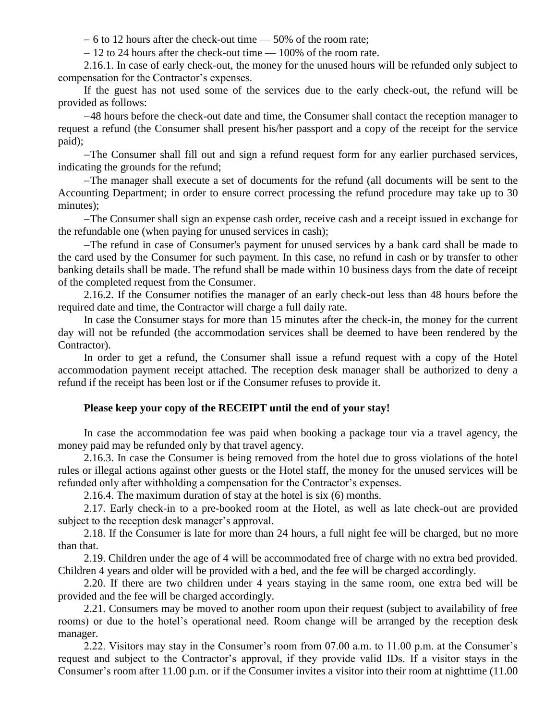$-6$  to 12 hours after the check-out time  $-50\%$  of the room rate;

 $-12$  to 24 hours after the check-out time  $-100\%$  of the room rate.

2.16.1. In case of early check-out, the money for the unused hours will be refunded only subject to compensation for the Contractor's expenses.

If the guest has not used some of the services due to the early check-out, the refund will be provided as follows:

48 hours before the check-out date and time, the Consumer shall contact the reception manager to request a refund (the Consumer shall present his/her passport and a copy of the receipt for the service paid);

The Consumer shall fill out and sign a refund request form for any earlier purchased services, indicating the grounds for the refund;

The manager shall execute a set of documents for the refund (all documents will be sent to the Accounting Department; in order to ensure correct processing the refund procedure may take up to 30 minutes);

The Consumer shall sign an expense cash order, receive cash and a receipt issued in exchange for the refundable one (when paying for unused services in cash);

The refund in case of Consumer's payment for unused services by a bank card shall be made to the card used by the Consumer for such payment. In this case, no refund in cash or by transfer to other banking details shall be made. The refund shall be made within 10 business days from the date of receipt of the completed request from the Consumer.

2.16.2. If the Consumer notifies the manager of an early check-out less than 48 hours before the required date and time, the Contractor will charge a full daily rate.

In case the Consumer stays for more than 15 minutes after the check-in, the money for the current day will not be refunded (the accommodation services shall be deemed to have been rendered by the Contractor).

In order to get a refund, the Consumer shall issue a refund request with a copy of the Hotel accommodation payment receipt attached. The reception desk manager shall be authorized to deny a refund if the receipt has been lost or if the Consumer refuses to provide it.

### **Please keep your copy of the RECEIPT until the end of your stay!**

In case the accommodation fee was paid when booking a package tour via a travel agency, the money paid may be refunded only by that travel agency.

2.16.3. In case the Consumer is being removed from the hotel due to gross violations of the hotel rules or illegal actions against other guests or the Hotel staff, the money for the unused services will be refunded only after withholding a compensation for the Contractor's expenses.

2.16.4. The maximum duration of stay at the hotel is six (6) months.

2.17. Early check-in to a pre-booked room at the Hotel, as well as late check-out are provided subject to the reception desk manager's approval.

2.18. If the Consumer is late for more than 24 hours, a full night fee will be charged, but no more than that.

2.19. Children under the age of 4 will be accommodated free of charge with no extra bed provided. Children 4 years and older will be provided with a bed, and the fee will be charged accordingly.

2.20. If there are two children under 4 years staying in the same room, one extra bed will be provided and the fee will be charged accordingly.

2.21. Consumers may be moved to another room upon their request (subject to availability of free rooms) or due to the hotel's operational need. Room change will be arranged by the reception desk manager.

2.22. Visitors may stay in the Consumer's room from 07.00 a.m. to 11.00 p.m. at the Consumer's request and subject to the Contractor's approval, if they provide valid IDs. If a visitor stays in the Consumer's room after 11.00 p.m. or if the Consumer invites a visitor into their room at nighttime (11.00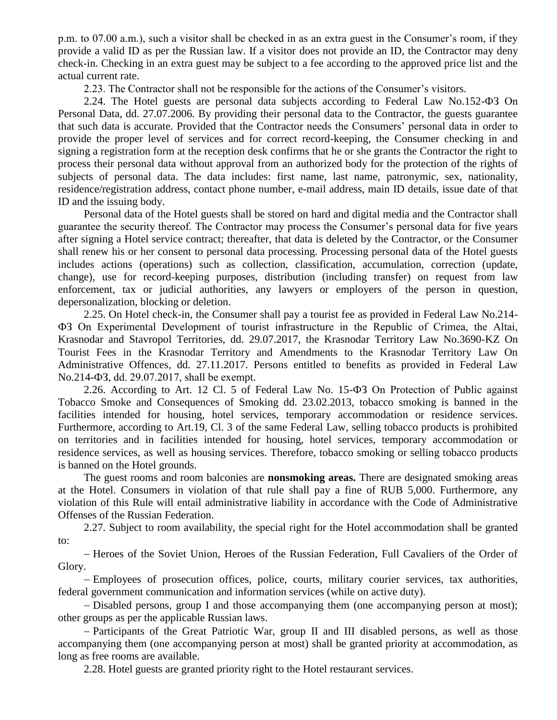p.m. to 07.00 a.m.), such a visitor shall be checked in as an extra guest in the Consumer's room, if they provide a valid ID as per the Russian law. If a visitor does not provide an ID, the Contractor may deny check-in. Checking in an extra guest may be subject to a fee according to the approved price list and the actual current rate.

2.23. The Contractor shall not be responsible for the actions of the Consumer's visitors.

2.24. The Hotel guests are personal data subjects according to Federal Law No.152-ФЗ On Personal Data, dd. 27.07.2006. By providing their personal data to the Contractor, the guests guarantee that such data is accurate. Provided that the Contractor needs the Consumers' personal data in order to provide the proper level of services and for correct record-keeping, the Consumer checking in and signing a registration form at the reception desk confirms that he or she grants the Contractor the right to process their personal data without approval from an authorized body for the protection of the rights of subjects of personal data. The data includes: first name, last name, patronymic, sex, nationality, residence/registration address, contact phone number, e-mail address, main ID details, issue date of that ID and the issuing body.

Personal data of the Hotel guests shall be stored on hard and digital media and the Contractor shall guarantee the security thereof. The Contractor may process the Consumer's personal data for five years after signing a Hotel service contract; thereafter, that data is deleted by the Contractor, or the Consumer shall renew his or her consent to personal data processing. Processing personal data of the Hotel guests includes actions (operations) such as collection, classification, accumulation, correction (update, change), use for record-keeping purposes, distribution (including transfer) on request from law enforcement, tax or judicial authorities, any lawyers or employers of the person in question, depersonalization, blocking or deletion.

2.25. On Hotel check-in, the Consumer shall pay a tourist fee as provided in Federal Law No.214- ФЗ On Experimental Development of tourist infrastructure in the Republic of Crimea, the Altai, Krasnodar and Stavropol Territories, dd. 29.07.2017, the Krasnodar Territory Law No.3690-KZ On Tourist Fees in the Krasnodar Territory and Amendments to the Krasnodar Territory Law On Administrative Offences, dd. 27.11.2017. Persons entitled to benefits as provided in Federal Law No.214-ФЗ, dd. 29.07.2017, shall be exempt.

2.26. According to Art. 12 Cl. 5 of Federal Law No. 15-ФЗ On Protection of Public against Tobacco Smoke and Consequences of Smoking dd. 23.02.2013, tobacco smoking is banned in the facilities intended for housing, hotel services, temporary accommodation or residence services. Furthermore, according to Art.19, Cl. 3 of the same Federal Law, selling tobacco products is prohibited on territories and in facilities intended for housing, hotel services, temporary accommodation or residence services, as well as housing services. Therefore, tobacco smoking or selling tobacco products is banned on the Hotel grounds.

The guest rooms and room balconies are **nonsmoking areas.** There are designated smoking areas at the Hotel. Consumers in violation of that rule shall pay a fine of RUB 5,000. Furthermore, any violation of this Rule will entail administrative liability in accordance with the Code of Administrative Offenses of the Russian Federation.

2.27. Subject to room availability, the special right for the Hotel accommodation shall be granted to:

– Heroes of the Soviet Union, Heroes of the Russian Federation, Full Cavaliers of the Order of Glory.

 Employees of prosecution offices, police, courts, military courier services, tax authorities, federal government communication and information services (while on active duty).

 $-D$  isabled persons, group I and those accompanying them (one accompanying person at most); other groups as per the applicable Russian laws.

- Participants of the Great Patriotic War, group II and III disabled persons, as well as those accompanying them (one accompanying person at most) shall be granted priority at accommodation, as long as free rooms are available.

2.28. Hotel guests are granted priority right to the Hotel restaurant services.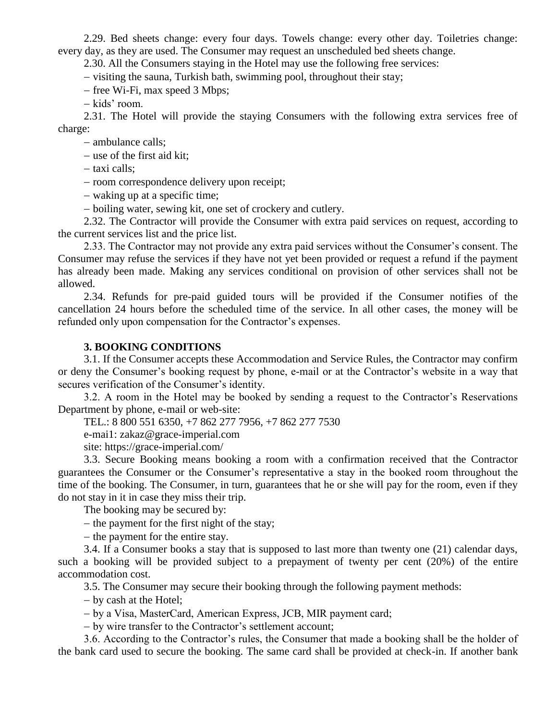2.29. Bed sheets change: every four days. Towels change: every other day. Toiletries change: every day, as they are used. The Consumer may request an unscheduled bed sheets change.

2.30. All the Consumers staying in the Hotel may use the following free services:

– visiting the sauna, Turkish bath, swimming pool, throughout their stay;

- free Wi-Fi, max speed 3 Mbps;

– kids' room.

2.31. The Hotel will provide the staying Consumers with the following extra services free of charge:

- ambulance calls;

 $-$  use of the first aid kit;

– taxi calls;

- room correspondence delivery upon receipt;

- waking up at a specific time;

boiling water, sewing kit, one set of crockery and cutlery.

2.32. The Contractor will provide the Consumer with extra paid services on request, according to the current services list and the price list.

2.33. The Contractor may not provide any extra paid services without the Consumer's consent. The Consumer may refuse the services if they have not yet been provided or request a refund if the payment has already been made. Making any services conditional on provision of other services shall not be allowed.

2.34. Refunds for pre-paid guided tours will be provided if the Consumer notifies of the cancellation 24 hours before the scheduled time of the service. In all other cases, the money will be refunded only upon compensation for the Contractor's expenses.

## **3. BOOKING CONDITIONS**

3.1. If the Consumer accepts these Accommodation and Service Rules, the Contractor may confirm or deny the Consumer's booking request by phone, e-mail or at the Contractor's website in a way that secures verification of the Consumer's identity.

3.2. A room in the Hotel may be booked by sending a request to the Contractor's Reservations Department by phone, e-mail or web-site:

TEL.: 8 800 551 6350, +7 862 277 7956, +7 862 277 7530

e-mai1: zakaz@grace-imperial.com

site: https://grace-imperial.com/

3.3. Secure Booking means booking a room with a confirmation received that the Contractor guarantees the Consumer or the Consumer's representative a stay in the booked room throughout the time of the booking. The Consumer, in turn, guarantees that he or she will pay for the room, even if they do not stay in it in case they miss their trip.

The booking may be secured by:

 $-$  the payment for the first night of the stay;

 $-$  the payment for the entire stay.

3.4. If a Consumer books a stay that is supposed to last more than twenty one (21) calendar days, such a booking will be provided subject to a prepayment of twenty per cent (20%) of the entire accommodation cost.

3.5. The Consumer may secure their booking through the following payment methods:

by cash at the Hotel;

by a Visa, MasterCard, Аmerican Express, ЈСВ, MIR payment card;

by wire transfer to the Contractor's settlement account;

3.6. According to the Contractor's rules, the Consumer that made a booking shall be the holder of the bank card used to secure the booking. The same card shall be provided at check-in. If another bank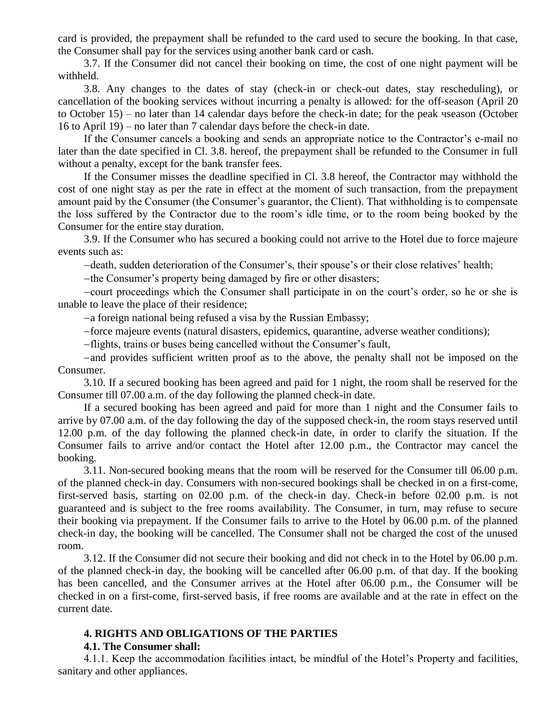card is provided, the prepayment shall be refunded to the card used to secure the booking. In that case, the Consumer shall pay for the services using another bank card or cash.

3.7. If the Consumer did not cancel their booking on time, the cost of one night payment will be withheld.

3.8. Any changes to the dates of stay (check-in or check-out dates, stay rescheduling), or cancellation of the booking services without incurring a penalty is allowed: for the off-season (April 20 to October 15) – no later than 14 calendar days before the check-in date; for the peak чseason (October 16 to April 19) – no later than 7 calendar days before the check-in date.

If the Consumer cancels a booking and sends an appropriate notice to the Contractor's e-mail no later than the date specified in Cl. 3.8. hereof, the prepayment shall be refunded to the Consumer in full without a penalty, except for the bank transfer fees.

If the Consumer misses the deadline specified in Cl. 3.8 hereof, the Contractor may withhold the cost of one night stay as per the rate in effect at the moment of such transaction, from the prepayment amount paid by the Consumer (the Consumer's guarantor, the Client). That withholding is to compensate the loss suffered by the Contractor due to the room's idle time, or to the room being booked by the Consumer for the entire stay duration.

3.9. If the Consumer who has secured a booking could not arrive to the Hotel due to force majeure events such as:

-death, sudden deterioration of the Consumer's, their spouse's or their close relatives' health;

-the Consumer's property being damaged by fire or other disasters;

court proceedings which the Consumer shall participate in on the court's order, so he or she is unable to leave the place of their residence;

a foreign national being refused a visa by the Russian Embassy;

force majeure events (natural disasters, epidemics, quarantine, adverse weather conditions);

-flights, trains or buses being cancelled without the Consumer's fault,

and provides sufficient written proof as to the above, the penalty shall not be imposed on the Consumer.

3.10. If a secured booking has been agreed and paid for 1 night, the room shall be reserved for the Consumer till 07.00 a.m. of the day following the planned check-in date.

If a secured booking has been agreed and paid for more than 1 night and the Consumer fails to arrive by 07.00 a.m. of the day following the day of the supposed check-in, the room stays reserved until 12.00 p.m. of the day following the planned check-in date, in order to clarify the situation. If the Consumer fails to arrive and/or contact the Hotel after 12.00 p.m., the Contractor may cancel the booking.

3.11. Non-secured booking means that the room will be reserved for the Consumer till 06.00 p.m. of the planned check-in day. Consumers with non-secured bookings shall be checked in on a first-come, first-served basis, starting on 02.00 p.m. of the check-in day. Check-in before 02.00 p.m. is not guaranteed and is subject to the free rooms availability. The Consumer, in turn, may refuse to secure their booking via prepayment. If the Consumer fails to arrive to the Hotel by 06.00 p.m. of the planned check-in day, the booking will be cancelled. The Consumer shall not be charged the cost of the unused room.

3.12. If the Consumer did not secure their booking and did not check in to the Hotel by 06.00 p.m. of the planned check-in day, the booking will be cancelled after 06.00 p.m. of that day. If the booking has been cancelled, and the Consumer arrives at the Hotel after 06.00 p.m., the Consumer will be checked in on a first-come, first-served basis, if free rooms are available and at the rate in effect on the current date.

### **4. RIGHTS AND OBLIGATIONS OF THE PARTIES**

### **4.1. The Consumer shall:**

4.1.1. Keep the accommodation facilities intact, be mindful of the Hotel's Property and facilities, sanitary and other appliances.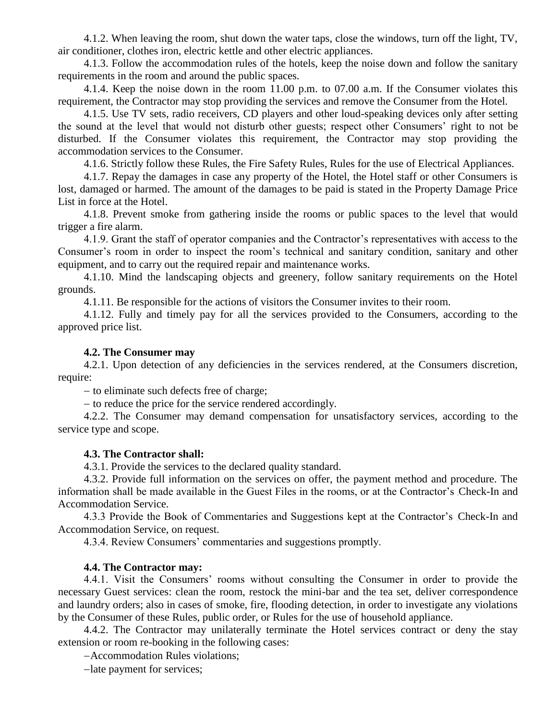4.1.2. When leaving the room, shut down the water taps, close the windows, turn off the light, TV, air conditioner, clothes iron, electric kettle and other electric appliances.

4.1.3. Follow the accommodation rules of the hotels, keep the noise down and follow the sanitary requirements in the room and around the public spaces.

4.1.4. Keep the noise down in the room 11.00 p.m. to 07.00 a.m. If the Consumer violates this requirement, the Contractor may stop providing the services and remove the Consumer from the Hotel.

4.1.5. Use TV sets, radio receivers, CD players and other loud-speaking devices only after setting the sound at the level that would not disturb other guests; respect other Consumers' right to not be disturbed. If the Consumer violates this requirement, the Contractor may stop providing the accommodation services to the Consumer.

4.1.6. Strictly follow these Rules, the Fire Safety Rules, Rules for the use of Electrical Appliances.

4.1.7. Repay the damages in case any property of the Hotel, the Hotel staff or other Consumers is lost, damaged or harmed. The amount of the damages to be paid is stated in the Property Damage Price List in force at the Hotel.

4.1.8. Prevent smoke from gathering inside the rooms or public spaces to the level that would trigger a fire alarm.

4.1.9. Grant the staff of operator companies and the Contractor's representatives with access to the Consumer's room in order to inspect the room's technical and sanitary condition, sanitary and other equipment, and to carry out the required repair and maintenance works.

4.1.10. Mind the landscaping objects and greenery, follow sanitary requirements on the Hotel grounds.

4.1.11. Be responsible for the actions of visitors the Consumer invites to their room.

4.1.12. Fully and timely pay for all the services provided to the Consumers, according to the approved price list.

#### **4.2. The Consumer may**

4.2.1. Upon detection of any deficiencies in the services rendered, at the Consumers discretion, require:

 $-$  to eliminate such defects free of charge;

- to reduce the price for the service rendered accordingly.

4.2.2. The Consumer may demand compensation for unsatisfactory services, according to the service type and scope.

#### **4.3. The Contractor shall:**

4.3.1. Provide the services to the declared quality standard.

4.3.2. Provide full information on the services on offer, the payment method and procedure. The information shall be made available in the Guest Files in the rooms, or at the Contractor's Check-In and Accommodation Service.

4.3.3 Provide the Book of Commentaries and Suggestions kept at the Contractor's Check-In and Accommodation Service, on request.

4.3.4. Review Consumers' commentaries and suggestions promptly.

#### **4.4. The Contractor may:**

4.4.1. Visit the Consumers' rooms without consulting the Consumer in order to provide the necessary Guest services: clean the room, restock the mini-bar and the tea set, deliver correspondence and laundry orders; also in cases of smoke, fire, flooding detection, in order to investigate any violations by the Consumer of these Rules, public order, or Rules for the use of household appliance.

4.4.2. The Contractor may unilaterally terminate the Hotel services contract or deny the stay extension or room re-booking in the following cases:

Accommodation Rules violations;

-late payment for services;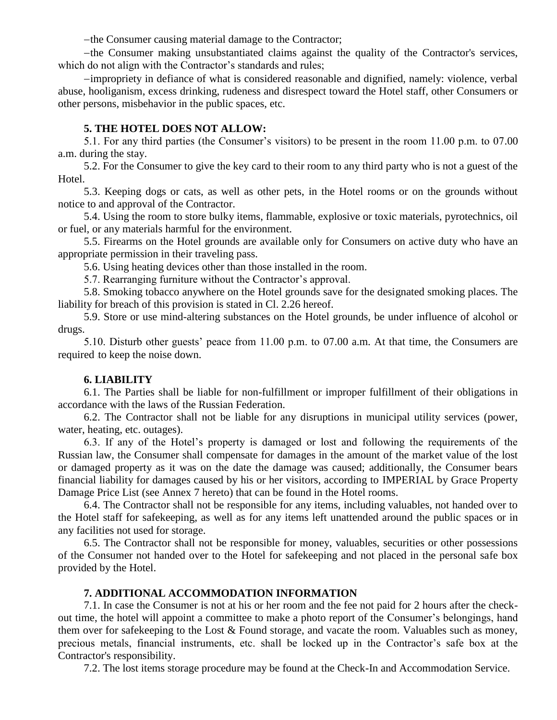-the Consumer causing material damage to the Contractor;

the Consumer making unsubstantiated claims against the quality of the Contractor's services, which do not align with the Contractor's standards and rules;

impropriety in defiance of what is considered reasonable and dignified, namely: violence, verbal abuse, hooliganism, excess drinking, rudeness and disrespect toward the Hotel staff, other Consumers or other persons, misbehavior in the public spaces, etc.

### **5. THE HOTEL DOES NOT ALLOW:**

5.1. For any third parties (the Consumer's visitors) to be present in the room 11.00 p.m. to 07.00 a.m. during the stay.

5.2. For the Consumer to give the key card to their room to any third party who is not a guest of the Hotel.

5.3. Keeping dogs or cats, as well as other pets, in the Hotel rooms or on the grounds without notice to and approval of the Contractor.

5.4. Using the room to store bulky items, flammable, explosive or toxic materials, pyrotechnics, oil or fuel, or any materials harmful for the environment.

5.5. Firearms on the Hotel grounds are available only for Consumers on active duty who have an appropriate permission in their traveling pass.

5.6. Using heating devices other than those installed in the room.

5.7. Rearranging furniture without the Contractor's approval.

5.8. Smoking tobacco anywhere on the Hotel grounds save for the designated smoking places. The liability for breach of this provision is stated in Cl. 2.26 hereof.

5.9. Store or use mind-altering substances on the Hotel grounds, be under influence of alcohol or drugs.

5.10. Disturb other guests' peace from 11.00 p.m. to 07.00 a.m. At that time, the Consumers are required to keep the noise down.

## **6. LIABILITY**

6.1. The Parties shall be liable for non-fulfillment or improper fulfillment of their obligations in accordance with the laws of the Russian Federation.

6.2. The Contractor shall not be liable for any disruptions in municipal utility services (power, water, heating, etc. outages).

6.3. If any of the Hotel's property is damaged or lost and following the requirements of the Russian law, the Consumer shall compensate for damages in the amount of the market value of the lost or damaged property as it was on the date the damage was caused; additionally, the Consumer bears financial liability for damages caused by his or her visitors, according to IMPERIAL by Grace Property Damage Price List (see Annex 7 hereto) that can be found in the Hotel rooms.

6.4. The Contractor shall not be responsible for any items, including valuables, not handed over to the Hotel staff for safekeeping, as well as for any items left unattended around the public spaces or in any facilities not used for storage.

6.5. The Contractor shall not be responsible for money, valuables, securities or other possessions of the Consumer not handed over to the Hotel for safekeeping and not placed in the personal safe box provided by the Hotel.

### **7. ADDITIONAL ACCOMMODATION INFORMATION**

7.1. In case the Consumer is not at his or her room and the fee not paid for 2 hours after the checkout time, the hotel will appoint a committee to make a photo report of the Consumer's belongings, hand them over for safekeeping to the Lost & Found storage, and vacate the room. Valuables such as money, precious metals, financial instruments, etc. shall be locked up in the Contractor's safe box at the Contractor's responsibility.

7.2. The lost items storage procedure may be found at the Check-In and Accommodation Service.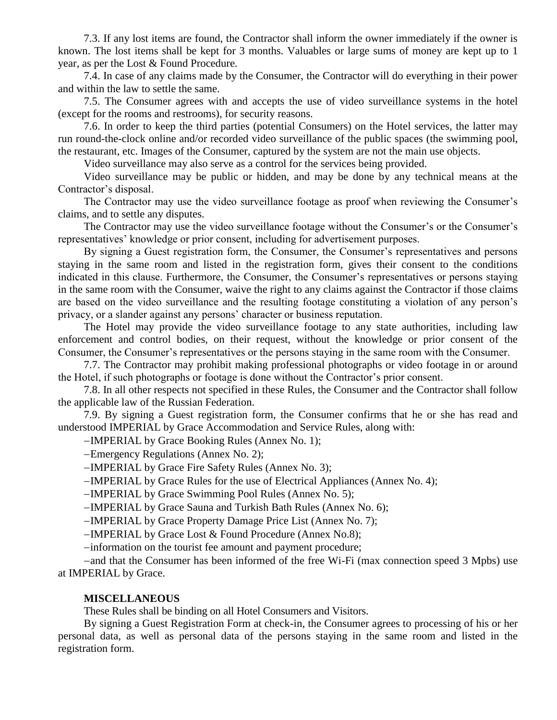7.3. If any lost items are found, the Contractor shall inform the owner immediately if the owner is known. The lost items shall be kept for 3 months. Valuables or large sums of money are kept up to 1 year, as per the Lost & Found Procedure.

7.4. In case of any claims made by the Consumer, the Contractor will do everything in their power and within the law to settle the same.

7.5. The Consumer agrees with and accepts the use of video surveillance systems in the hotel (except for the rooms and restrooms), for security reasons.

7.6. In order to keep the third parties (potential Consumers) on the Hotel services, the latter may run round-the-clock online and/or recorded video surveillance of the public spaces (the swimming pool, the restaurant, etc. Images of the Consumer, captured by the system are not the main use objects.

Video surveillance may also serve as a control for the services being provided.

Video surveillance may be public or hidden, and may be done by any technical means at the Contractor's disposal.

The Contractor may use the video surveillance footage as proof when reviewing the Consumer's claims, and to settle any disputes.

The Contractor may use the video surveillance footage without the Consumer's or the Consumer's representatives' knowledge or prior consent, including for advertisement purposes.

By signing a Guest registration form, the Consumer, the Consumer's representatives and persons staying in the same room and listed in the registration form, gives their consent to the conditions indicated in this clause. Furthermore, the Consumer, the Consumer's representatives or persons staying in the same room with the Consumer, waive the right to any claims against the Contractor if those claims are based on the video surveillance and the resulting footage constituting a violation of any person's privacy, or a slander against any persons' character or business reputation.

The Hotel may provide the video surveillance footage to any state authorities, including law enforcement and control bodies, on their request, without the knowledge or prior consent of the Consumer, the Consumer's representatives or the persons staying in the same room with the Consumer.

7.7. The Contractor may prohibit making professional photographs or video footage in or around the Hotel, if such photographs or footage is done without the Contractor's prior consent.

7.8. In all other respects not specified in these Rules, the Consumer and the Contractor shall follow the applicable law of the Russian Federation.

7.9. By signing a Guest registration form, the Consumer confirms that he or she has read and understood IMPERIAL by Grace Accommodation and Service Rules, along with:

-IMPERIAL by Grace Booking Rules (Annex No. 1);

Emergency Regulations (Annex No. 2);

-IMPERIAL by Grace Fire Safety Rules (Annex No. 3);

IMPERIAL by Grace Rules for the use of Electrical Appliances (Annex No. 4);

-IMPERIAL by Grace Swimming Pool Rules (Annex No. 5);

-IMPERIAL by Grace Sauna and Turkish Bath Rules (Annex No. 6);

-IMPERIAL by Grace Property Damage Price List (Annex No. 7);

-IMPERIAL by Grace Lost & Found Procedure (Annex No.8);

-information on the tourist fee amount and payment procedure;

and that the Consumer has been informed of the free Wi-Fi (max connection speed 3 Mpbs) use at IMPERIAL by Grace.

#### **MISCELLANEOUS**

These Rules shall be binding on all Hotel Consumers and Visitors.

By signing a Guest Registration Form at check-in, the Consumer agrees to processing of his or her personal data, as well as personal data of the persons staying in the same room and listed in the registration form.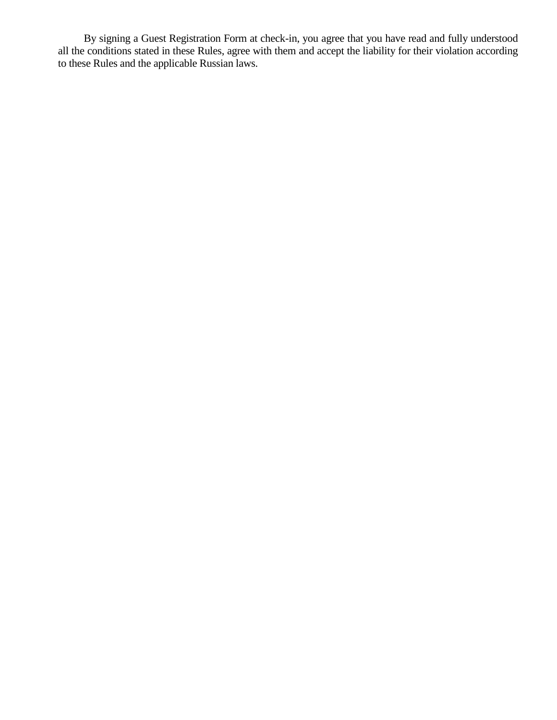By signing a Guest Registration Form at check-in, you agree that you have read and fully understood all the conditions stated in these Rules, agree with them and accept the liability for their violation according to these Rules and the applicable Russian laws.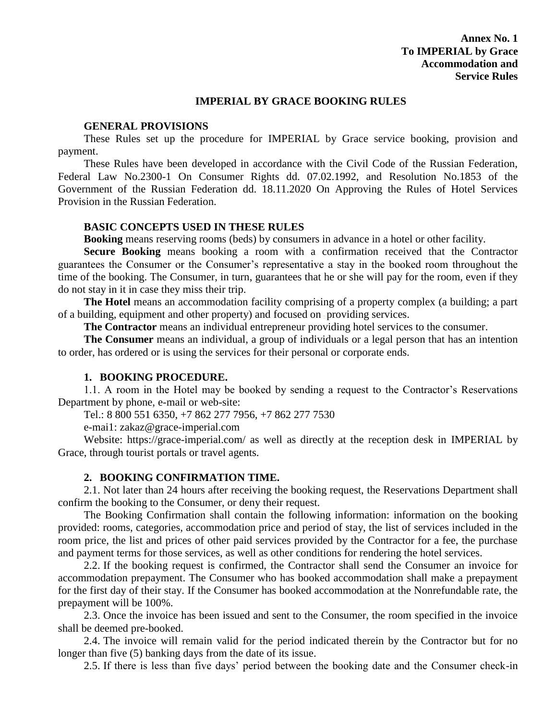#### **IMPERIAL BY GRACE BOOKING RULES**

### **GENERAL PROVISIONS**

These Rules set up the procedure for IMPERIAL by Grace service booking, provision and payment.

These Rules have been developed in accordance with the Civil Code of the Russian Federation, Federal Law No.2300-1 On Consumer Rights dd. 07.02.1992, and Resolution No.1853 of the Government of the Russian Federation dd. 18.11.2020 On Approving the Rules of Hotel Services Provision in the Russian Federation.

## **BASIC CONCEPTS USED IN THESE RULES**

**Booking** means reserving rooms (beds) by consumers in advance in a hotel or other facility.

**Secure Booking** means booking a room with a confirmation received that the Contractor guarantees the Consumer or the Consumer's representative a stay in the booked room throughout the time of the booking. The Consumer, in turn, guarantees that he or she will pay for the room, even if they do not stay in it in case they miss their trip.

The Hotel means an accommodation facility comprising of a property complex (a building; a part of a building, equipment and other property) and focused on providing services.

**The Contractor** means an individual entrepreneur providing hotel services to the consumer.

**The Consumer** means an individual, a group of individuals or a legal person that has an intention to order, has ordered or is using the services for their personal or corporate ends.

## **1. BOOKING PROCEDURE.**

1.1. A room in the Hotel may be booked by sending a request to the Contractor's Reservations Department by phone, e-mail or web-site:

Tel.: 8 800 551 6350, +7 862 277 7956, +7 862 277 7530

e-mai1: zakaz@grace-imperial.com

Website: https://grace-imperial.com/ as well as directly at the reception desk in IMPERIAL by Grace, through tourist portals or travel agents.

#### **2. BOOKING CONFIRMATION TIME.**

2.1. Not later than 24 hours after receiving the booking request, the Reservations Department shall confirm the booking to the Consumer, or deny their request.

The Booking Confirmation shall contain the following information: information on the booking provided: rooms, categories, accommodation price and period of stay, the list of services included in the room price, the list and prices of other paid services provided by the Contractor for a fee, the purchase and payment terms for those services, as well as other conditions for rendering the hotel services.

2.2. If the booking request is confirmed, the Contractor shall send the Consumer an invoice for accommodation prepayment. The Consumer who has booked accommodation shall make a prepayment for the first day of their stay. If the Consumer has booked accommodation at the Nonrefundable rate, the prepayment will be 100%.

2.3. Once the invoice has been issued and sent to the Consumer, the room specified in the invoice shall be deemed pre-booked.

2.4. The invoice will remain valid for the period indicated therein by the Contractor but for no longer than five (5) banking days from the date of its issue.

2.5. If there is less than five days' period between the booking date and the Consumer check-in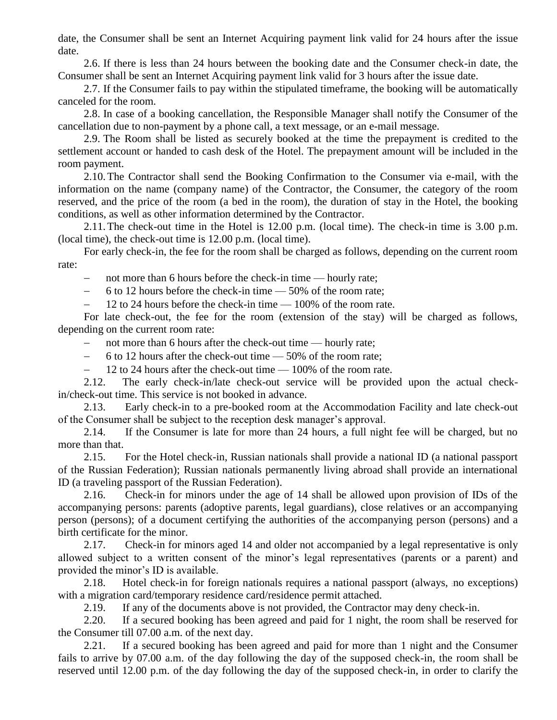date, the Consumer shall be sent an Internet Acquiring payment link valid for 24 hours after the issue date.

2.6. If there is less than 24 hours between the booking date and the Consumer check-in date, the Consumer shall be sent an Internet Acquiring payment link valid for 3 hours after the issue date.

2.7. If the Consumer fails to pay within the stipulated timeframe, the booking will be automatically canceled for the room.

2.8. In case of a booking cancellation, the Responsible Manager shall notify the Consumer of the cancellation due to non-payment by a phone call, a text message, or an e-mail message.

2.9. The Room shall be listed as securely booked at the time the prepayment is credited to the settlement account or handed to cash desk of the Hotel. The prepayment amount will be included in the room payment.

2.10.The Contractor shall send the Booking Confirmation to the Consumer via e-mail, with the information on the name (company name) of the Contractor, the Consumer, the category of the room reserved, and the price of the room (a bed in the room), the duration of stay in the Hotel, the booking conditions, as well as other information determined by the Contractor.

2.11.The check-out time in the Hotel is 12.00 p.m. (local time). The check-in time is 3.00 p.m. (local time), the check-out time is 12.00 p.m. (local time).

For early check-in, the fee for the room shall be charged as follows, depending on the current room rate:

- not more than 6 hours before the check-in time — hourly rate;

 $-6$  to 12 hours before the check-in time  $-50\%$  of the room rate;

 $-$  12 to 24 hours before the check-in time  $-$  100% of the room rate.

For late check-out, the fee for the room (extension of the stay) will be charged as follows, depending on the current room rate:

- not more than 6 hours after the check-out time — hourly rate;

- 6 to 12 hours after the check-out time  $-$  50% of the room rate;

- 12 to 24 hours after the check-out time  $-100\%$  of the room rate.

2.12. The early check-in/late check-out service will be provided upon the actual checkin/check-out time. This service is not booked in advance.

2.13. Early check-in to a pre-booked room at the Accommodation Facility and late check-out of the Consumer shall be subject to the reception desk manager's approval.

2.14. If the Consumer is late for more than 24 hours, a full night fee will be charged, but no more than that.

2.15. For the Hotel check-in, Russian nationals shall provide a national ID (a national passport of the Russian Federation); Russian nationals permanently living abroad shall provide an international ID (a traveling passport of the Russian Federation).

2.16. Check-in for minors under the age of 14 shall be allowed upon provision of IDs of the accompanying persons: parents (adoptive parents, legal guardians), close relatives or an accompanying person (persons); of a document certifying the authorities of the accompanying person (persons) and a birth certificate for the minor.

2.17. Check-in for minors aged 14 and older not accompanied by a legal representative is only allowed subject to a written consent of the minor's legal representatives (parents or a parent) and provided the minor's ID is available.

2.18. Hotel check-in for foreign nationals requires a national passport (always, no exceptions) with a migration card/temporary residence card/residence permit attached.

2.19. If any of the documents above is not provided, the Contractor may deny check-in.

2.20. If a secured booking has been agreed and paid for 1 night, the room shall be reserved for the Consumer till 07.00 a.m. of the next day.

2.21. If a secured booking has been agreed and paid for more than 1 night and the Consumer fails to arrive by 07.00 a.m. of the day following the day of the supposed check-in, the room shall be reserved until 12.00 p.m. of the day following the day of the supposed check-in, in order to clarify the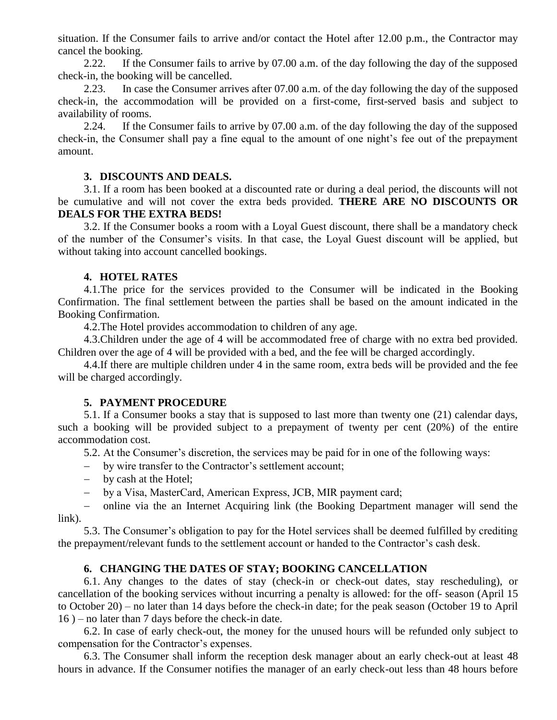situation. If the Consumer fails to arrive and/or contact the Hotel after 12.00 p.m., the Contractor may cancel the booking.

2.22. If the Consumer fails to arrive by 07.00 a.m. of the day following the day of the supposed check-in, the booking will be cancelled.

2.23. In case the Consumer arrives after 07.00 a.m. of the day following the day of the supposed check-in, the accommodation will be provided on a first-come, first-served basis and subject to availability of rooms.

2.24. If the Consumer fails to arrive by 07.00 a.m. of the day following the day of the supposed check-in, the Consumer shall pay a fine equal to the amount of one night's fee out of the prepayment amount.

## **3. DISCOUNTS AND DEALS.**

3.1. If a room has been booked at a discounted rate or during a deal period, the discounts will not be cumulative and will not cover the extra beds provided. **THERE ARE NO DISCOUNTS OR DEALS FOR THE EXTRA BEDS!**

3.2. If the Consumer books a room with a Loyal Guest discount, there shall be a mandatory check of the number of the Consumer's visits. In that case, the Loyal Guest discount will be applied, but without taking into account cancelled bookings.

## **4. HOTEL RATES**

4.1.The price for the services provided to the Consumer will be indicated in the Booking Confirmation. The final settlement between the parties shall be based on the amount indicated in the Booking Confirmation.

4.2.The Hotel provides accommodation to children of any age.

4.3.Children under the age of 4 will be accommodated free of charge with no extra bed provided. Children over the age of 4 will be provided with a bed, and the fee will be charged accordingly.

4.4.If there are multiple children under 4 in the same room, extra beds will be provided and the fee will be charged accordingly.

## **5. PAYMENT PROCEDURE**

5.1. If a Consumer books a stay that is supposed to last more than twenty one (21) calendar days, such a booking will be provided subject to a prepayment of twenty per cent (20%) of the entire accommodation cost.

5.2. At the Consumer's discretion, the services may be paid for in one of the following ways:

- by wire transfer to the Contractor's settlement account;
- by cash at the Hotel;
- by a Visa, MasterCard, Аmerican Express, ЈСВ, MIR payment card;

 online via the an Internet Acquiring link (the Booking Department manager will send the link).

5.3. The Consumer's obligation to pay for the Hotel services shall be deemed fulfilled by crediting the prepayment/relevant funds to the settlement account or handed to the Contractor's cash desk.

## **6. CHANGING THE DATES OF STAY; BOOKING CANCELLATION**

6.1. Any changes to the dates of stay (check-in or check-out dates, stay rescheduling), or cancellation of the booking services without incurring a penalty is allowed: for the off- season (April 15 to October 20) – no later than 14 days before the check-in date; for the peak season (October 19 to April 16 ) – no later than 7 days before the check-in date.

6.2. In case of early check-out, the money for the unused hours will be refunded only subject to compensation for the Contractor's expenses.

6.3. The Consumer shall inform the reception desk manager about an early check-out at least 48 hours in advance. If the Consumer notifies the manager of an early check-out less than 48 hours before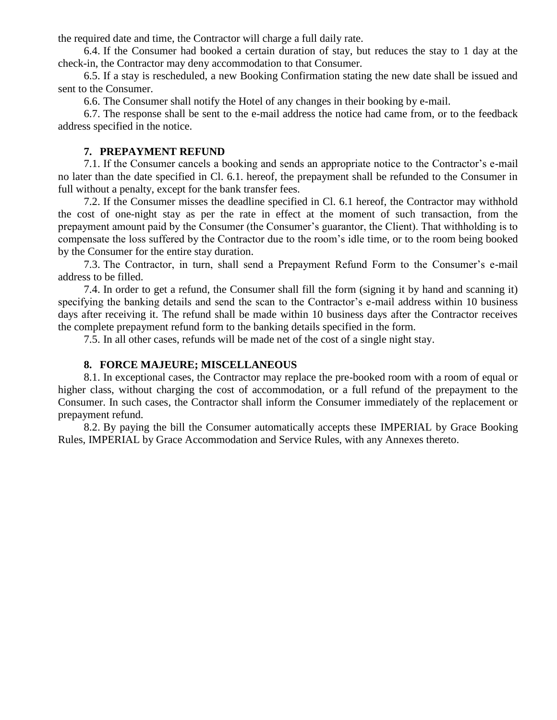the required date and time, the Contractor will charge a full daily rate.

6.4. If the Consumer had booked a certain duration of stay, but reduces the stay to 1 day at the check-in, the Contractor may deny accommodation to that Consumer.

6.5. If a stay is rescheduled, a new Booking Confirmation stating the new date shall be issued and sent to the Consumer.

6.6. The Consumer shall notify the Hotel of any changes in their booking by e-mail.

6.7. The response shall be sent to the e-mail address the notice had came from, or to the feedback address specified in the notice.

#### **7. PREPAYMENT REFUND**

7.1. If the Consumer cancels a booking and sends an appropriate notice to the Contractor's e-mail no later than the date specified in Cl. 6.1. hereof, the prepayment shall be refunded to the Consumer in full without a penalty, except for the bank transfer fees.

7.2. If the Consumer misses the deadline specified in Cl. 6.1 hereof, the Contractor may withhold the cost of one-night stay as per the rate in effect at the moment of such transaction, from the prepayment amount paid by the Consumer (the Consumer's guarantor, the Client). That withholding is to compensate the loss suffered by the Contractor due to the room's idle time, or to the room being booked by the Consumer for the entire stay duration.

7.3. The Contractor, in turn, shall send a Prepayment Refund Form to the Consumer's e-mail address to be filled.

7.4. In order to get a refund, the Consumer shall fill the form (signing it by hand and scanning it) specifying the banking details and send the scan to the Contractor's e-mail address within 10 business days after receiving it. The refund shall be made within 10 business days after the Contractor receives the complete prepayment refund form to the banking details specified in the form.

7.5. In all other cases, refunds will be made net of the cost of a single night stay.

## **8. FORCE MAJEURE; MISCELLANEOUS**

8.1. In exceptional cases, the Contractor may replace the pre-booked room with a room of equal or higher class, without charging the cost of accommodation, or a full refund of the prepayment to the Consumer. In such cases, the Contractor shall inform the Consumer immediately of the replacement or prepayment refund.

8.2. By paying the bill the Consumer automatically accepts these IMPERIAL by Grace Booking Rules, IMPERIAL by Grace Accommodation and Service Rules, with any Annexes thereto.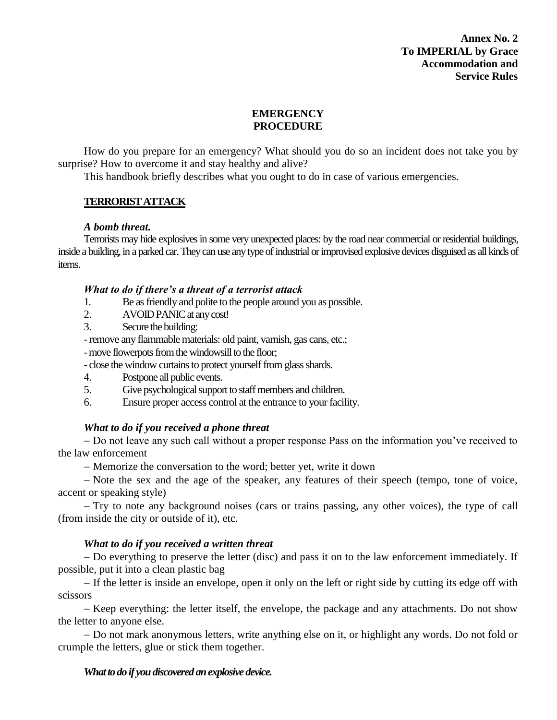**Annex No. 2 To IMPERIAL by Grace Accommodation and Service Rules**

# **EMERGENCY PROCEDURE**

How do you prepare for an emergency? What should you do so an incident does not take you by surprise? How to overcome it and stay healthy and alive?

This handbook briefly describes what you ought to do in case of various emergencies.

# **TERRORIST ATTACK**

## *A bomb threat.*

Terrorists may hide explosives in some very unexpected places: by the road near commercial or residential buildings, inside a building, in a parked car. They can use any type of industrial or improvised explosive devices disguised as all kinds of items.

## *What to do if there's a threat of a terrorist attack*

- 1. Be as friendly and polite to the people around you as possible.
- 2. AVOID PANIC at any cost!
- 3. Secure the building:

-remove any flammable materials: old paint, varnish, gas cans, etc.;

-move flowerpots from the windowsill to the floor;

- close the window curtains to protect yourself from glass shards.

- 4. Postpone all public events.
- 5. Give psychological support to staff members and children.

6. Ensure proper access control at the entrance to your facility.

## *What to do if you received a phone threat*

 Do not leave any such call without a proper response Pass on the information you've received to the law enforcement

Memorize the conversation to the word; better yet, write it down

- Note the sex and the age of the speaker, any features of their speech (tempo, tone of voice, accent or speaking style)

 Try to note any background noises (cars or trains passing, any other voices), the type of call (from inside the city or outside of it), etc.

## *What to do if you received a written threat*

 Do everything to preserve the letter (disc) and pass it on to the law enforcement immediately. If possible, put it into a clean plastic bag

 If the letter is inside an envelope, open it only on the left or right side by cutting its edge off with scissors

- Keep everything: the letter itself, the envelope, the package and any attachments. Do not show the letter to anyone else.

- Do not mark anonymous letters, write anything else on it, or highlight any words. Do not fold or crumple the letters, glue or stick them together.

## *What to do if you discovered an explosive device.*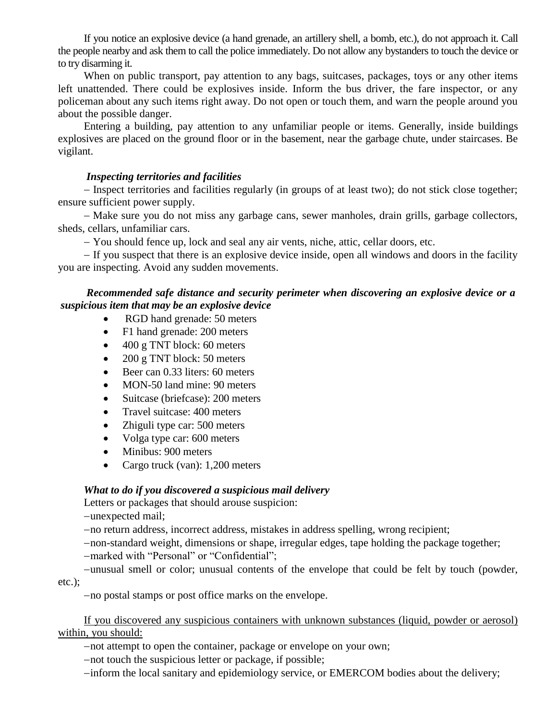If you notice an explosive device (a hand grenade, an artillery shell, a bomb, etc.), do not approach it. Call the people nearby and ask them to call the police immediately. Do not allow any bystanders to touch the device or to try disarming it.

When on public transport, pay attention to any bags, suitcases, packages, toys or any other items left unattended. There could be explosives inside. Inform the bus driver, the fare inspector, or any policeman about any such items right away. Do not open or touch them, and warn the people around you about the possible danger.

Entering a building, pay attention to any unfamiliar people or items. Generally, inside buildings explosives are placed on the ground floor or in the basement, near the garbage chute, under staircases. Be vigilant.

### *Inspecting territories and facilities*

 Inspect territories and facilities regularly (in groups of at least two); do not stick close together; ensure sufficient power supply.

- Make sure you do not miss any garbage cans, sewer manholes, drain grills, garbage collectors, sheds, cellars, unfamiliar cars.

You should fence up, lock and seal any air vents, niche, attic, cellar doors, etc.

 If you suspect that there is an explosive device inside, open all windows and doors in the facility you are inspecting. Avoid any sudden movements.

# *Recommended safe distance and security perimeter when discovering an explosive device or a suspicious item that may be an explosive device*

- RGD hand grenade: 50 meters
- F1 hand grenade: 200 meters
- 400 g TNT block: 60 meters
- 200 g TNT block: 50 meters
- Beer can 0.33 liters: 60 meters
- MON-50 land mine: 90 meters
- Suitcase (briefcase): 200 meters
- Travel suitcase: 400 meters
- Zhiguli type car: 500 meters
- Volga type car: 600 meters
- Minibus: 900 meters
- Cargo truck (van): 1,200 meters

## *What to do if you discovered a suspicious mail delivery*

Letters or packages that should arouse suspicion:

-unexpected mail;

no return address, incorrect address, mistakes in address spelling, wrong recipient;

non-standard weight, dimensions or shape, irregular edges, tape holding the package together;

-marked with "Personal" or "Confidential";

unusual smell or color; unusual contents of the envelope that could be felt by touch (powder, etc.);

no postal stamps or post office marks on the envelope.

If you discovered any suspicious containers with unknown substances (liquid, powder or aerosol) within, you should:

not attempt to open the container, package or envelope on your own;

-not touch the suspicious letter or package, if possible;

inform the local sanitary and epidemiology service, or EMERCOM bodies about the delivery;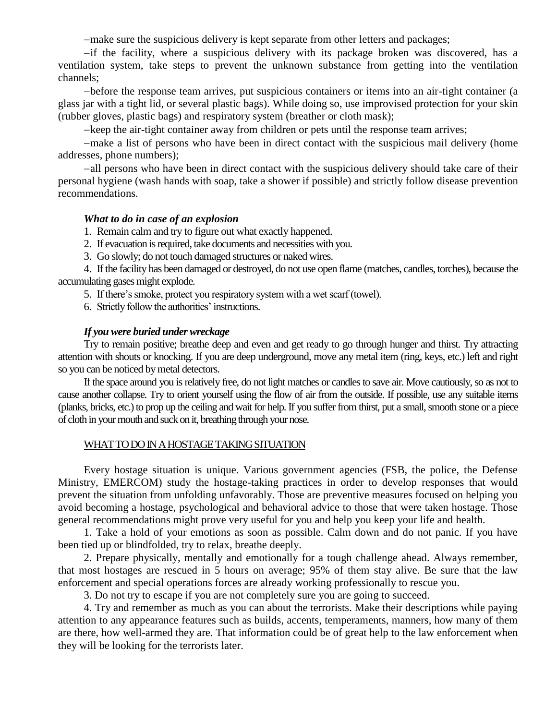make sure the suspicious delivery is kept separate from other letters and packages;

if the facility, where a suspicious delivery with its package broken was discovered, has a ventilation system, take steps to prevent the unknown substance from getting into the ventilation channels;

before the response team arrives, put suspicious containers or items into an air-tight container (a glass jar with a tight lid, or several plastic bags). While doing so, use improvised protection for your skin (rubber gloves, plastic bags) and respiratory system (breather or cloth mask);

-keep the air-tight container away from children or pets until the response team arrives;

make a list of persons who have been in direct contact with the suspicious mail delivery (home addresses, phone numbers);

all persons who have been in direct contact with the suspicious delivery should take care of their personal hygiene (wash hands with soap, take a shower if possible) and strictly follow disease prevention recommendations.

#### *What to do in case of an explosion*

1. Remain calm and try to figure out what exactly happened.

- 2. If evacuation is required, take documents and necessities with you.
- 3. Go slowly; do not touch damaged structures or naked wires.

4. If the facility has been damaged or destroyed, do not use open flame (matches, candles, torches), because the accumulating gases might explode.

5. If there's smoke, protect you respiratory system with a wet scarf (towel).

6. Strictly follow the authorities' instructions.

### *If you were buried under wreckage*

Try to remain positive; breathe deep and even and get ready to go through hunger and thirst. Try attracting attention with shouts or knocking. If you are deep underground, move any metal item (ring, keys, etc.) left and right so you can be noticed by metal detectors.

If the space around you is relatively free, do not light matches or candles to save air. Move cautiously, so as not to cause another collapse. Try to orient yourself using the flow of air from the outside. If possible, use any suitable items (planks, bricks, etc.) to prop up the ceiling and wait for help. If you suffer from thirst, put a small, smooth stone or a piece of cloth in your mouth and suck on it, breathing through your nose.

#### WHAT TO DO IN A HOSTAGE TAKING SITUATION

Every hostage situation is unique. Various government agencies (FSB, the police, the Defense Ministry, EMERCOM) study the hostage-taking practices in order to develop responses that would prevent the situation from unfolding unfavorably. Those are preventive measures focused on helping you avoid becoming a hostage, psychological and behavioral advice to those that were taken hostage. Those general recommendations might prove very useful for you and help you keep your life and health.

1. Take a hold of your emotions as soon as possible. Calm down and do not panic. If you have been tied up or blindfolded, try to relax, breathe deeply.

2. Prepare physically, mentally and emotionally for a tough challenge ahead. Always remember, that most hostages are rescued in 5 hours on average; 95% of them stay alive. Be sure that the law enforcement and special operations forces are already working professionally to rescue you.

3. Do not try to escape if you are not completely sure you are going to succeed.

4. Try and remember as much as you can about the terrorists. Make their descriptions while paying attention to any appearance features such as builds, accents, temperaments, manners, how many of them are there, how well-armed they are. That information could be of great help to the law enforcement when they will be looking for the terrorists later.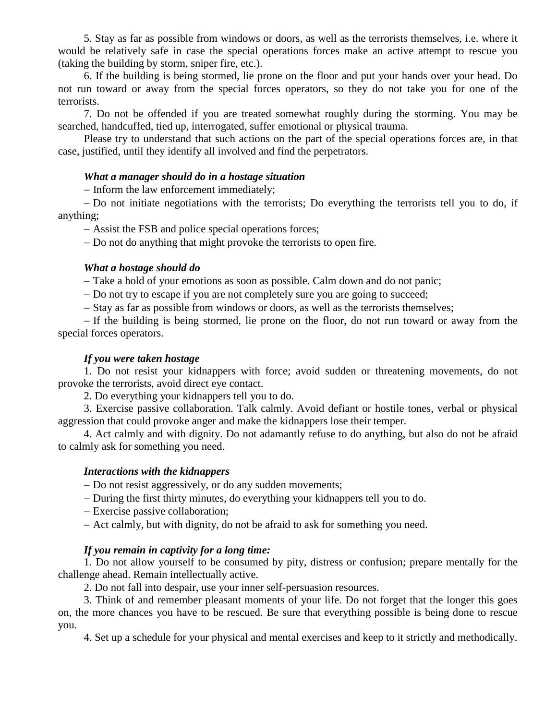5. Stay as far as possible from windows or doors, as well as the terrorists themselves, i.e. where it would be relatively safe in case the special operations forces make an active attempt to rescue you (taking the building by storm, sniper fire, etc.).

6. If the building is being stormed, lie prone on the floor and put your hands over your head. Do not run toward or away from the special forces operators, so they do not take you for one of the terrorists.

7. Do not be offended if you are treated somewhat roughly during the storming. You may be searched, handcuffed, tied up, interrogated, suffer emotional or physical trauma.

Please try to understand that such actions on the part of the special operations forces are, in that case, justified, until they identify all involved and find the perpetrators.

### *What a manager should do in a hostage situation*

- Inform the law enforcement immediately;

 Do not initiate negotiations with the terrorists; Do everything the terrorists tell you to do, if anything;

Assist the FSB and police special operations forces;

Do not do anything that might provoke the terrorists to open fire.

## *What a hostage should do*

Take a hold of your emotions as soon as possible. Calm down and do not panic;

Do not try to escape if you are not completely sure you are going to succeed;

- Stay as far as possible from windows or doors, as well as the terrorists themselves;

 If the building is being stormed, lie prone on the floor, do not run toward or away from the special forces operators.

### *If you were taken hostage*

1. Do not resist your kidnappers with force; avoid sudden or threatening movements, do not provoke the terrorists, avoid direct eye contact.

2. Do everything your kidnappers tell you to do.

3. Exercise passive collaboration. Talk calmly. Avoid defiant or hostile tones, verbal or physical aggression that could provoke anger and make the kidnappers lose their temper.

4. Act calmly and with dignity. Do not adamantly refuse to do anything, but also do not be afraid to calmly ask for something you need.

### *Interactions with the kidnappers*

Do not resist aggressively, or do any sudden movements;

During the first thirty minutes, do everything your kidnappers tell you to do.

Exercise passive collaboration;

Act calmly, but with dignity, do not be afraid to ask for something you need.

## *If you remain in captivity for a long time:*

1. Do not allow yourself to be consumed by pity, distress or confusion; prepare mentally for the challenge ahead. Remain intellectually active.

2. Do not fall into despair, use your inner self-persuasion resources.

3. Think of and remember pleasant moments of your life. Do not forget that the longer this goes on, the more chances you have to be rescued. Be sure that everything possible is being done to rescue you.

4. Set up a schedule for your physical and mental exercises and keep to it strictly and methodically.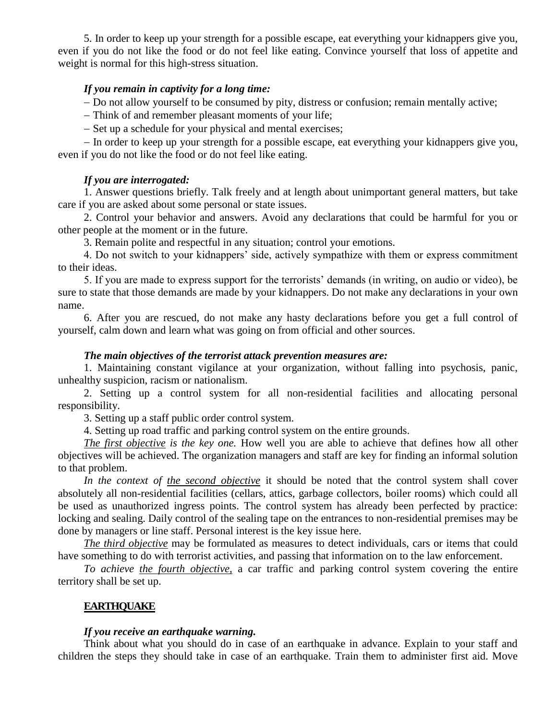5. In order to keep up your strength for a possible escape, eat everything your kidnappers give you, even if you do not like the food or do not feel like eating. Convince yourself that loss of appetite and weight is normal for this high-stress situation.

## *If you remain in captivity for a long time:*

- Do not allow yourself to be consumed by pity, distress or confusion; remain mentally active;

- Think of and remember pleasant moments of your life;

- Set up a schedule for your physical and mental exercises;

- In order to keep up your strength for a possible escape, eat everything your kidnappers give you, even if you do not like the food or do not feel like eating.

#### *If you are interrogated:*

1. Answer questions briefly. Talk freely and at length about unimportant general matters, but take care if you are asked about some personal or state issues.

2. Control your behavior and answers. Avoid any declarations that could be harmful for you or other people at the moment or in the future.

3. Remain polite and respectful in any situation; control your emotions.

4. Do not switch to your kidnappers' side, actively sympathize with them or express commitment to their ideas.

5. If you are made to express support for the terrorists' demands (in writing, on audio or video), be sure to state that those demands are made by your kidnappers. Do not make any declarations in your own name.

6. After you are rescued, do not make any hasty declarations before you get a full control of yourself, calm down and learn what was going on from official and other sources.

#### *The main objectives of the terrorist attack prevention measures are:*

1. Maintaining constant vigilance at your organization, without falling into psychosis, panic, unhealthy suspicion, racism or nationalism.

2. Setting up a control system for all non-residential facilities and allocating personal responsibility.

3. Setting up a staff public order control system.

4. Setting up road traffic and parking control system on the entire grounds.

*The first objective is the key one.* How well you are able to achieve that defines how all other objectives will be achieved. The organization managers and staff are key for finding an informal solution to that problem.

*In the context of the second objective* it should be noted that the control system shall cover absolutely all non-residential facilities (cellars, attics, garbage collectors, boiler rooms) which could all be used as unauthorized ingress points. The control system has already been perfected by practice: locking and sealing. Daily control of the sealing tape on the entrances to non-residential premises may be done by managers or line staff. Personal interest is the key issue here.

*The third objective* may be formulated as measures to detect individuals, cars or items that could have something to do with terrorist activities, and passing that information on to the law enforcement.

*To achieve the fourth objective,* a car traffic and parking control system covering the entire territory shall be set up.

### **EARTHQUAKE**

#### *If you receive an earthquake warning.*

Think about what you should do in case of an earthquake in advance. Explain to your staff and children the steps they should take in case of an earthquake. Train them to administer first aid. Move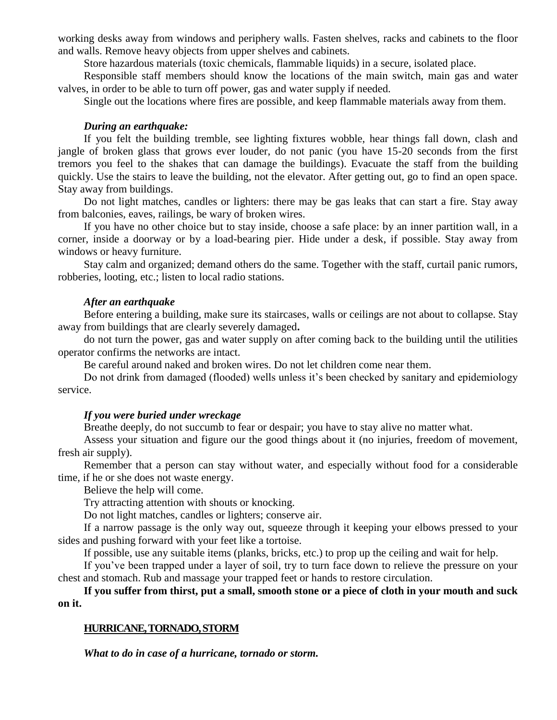working desks away from windows and periphery walls. Fasten shelves, racks and cabinets to the floor and walls. Remove heavy objects from upper shelves and cabinets.

Store hazardous materials (toxic chemicals, flammable liquids) in a secure, isolated place.

Responsible staff members should know the locations of the main switch, main gas and water valves, in order to be able to turn off power, gas and water supply if needed.

Single out the locations where fires are possible, and keep flammable materials away from them.

#### *During an earthquake:*

If you felt the building tremble, see lighting fixtures wobble, hear things fall down, clash and jangle of broken glass that grows ever louder, do not panic (you have 15-20 seconds from the first tremors you feel to the shakes that can damage the buildings). Evacuate the staff from the building quickly. Use the stairs to leave the building, not the elevator. After getting out, go to find an open space. Stay away from buildings.

Do not light matches, candles or lighters: there may be gas leaks that can start a fire. Stay away from balconies, eaves, railings, be wary of broken wires.

If you have no other choice but to stay inside, choose a safe place: by an inner partition wall, in a corner, inside a doorway or by a load-bearing pier. Hide under a desk, if possible. Stay away from windows or heavy furniture.

Stay calm and organized; demand others do the same. Together with the staff, curtail panic rumors, robberies, looting, etc.; listen to local radio stations.

### *After an earthquake*

Before entering a building, make sure its staircases, walls or ceilings are not about to collapse. Stay away from buildings that are clearly severely damaged**.**

do not turn the power, gas and water supply on after coming back to the building until the utilities operator confirms the networks are intact.

Be careful around naked and broken wires. Do not let children come near them.

Do not drink from damaged (flooded) wells unless it's been checked by sanitary and epidemiology service.

### *If you were buried under wreckage*

Breathe deeply, do not succumb to fear or despair; you have to stay alive no matter what.

Assess your situation and figure our the good things about it (no injuries, freedom of movement, fresh air supply).

Remember that a person can stay without water, and especially without food for a considerable time, if he or she does not waste energy.

Believe the help will come.

Try attracting attention with shouts or knocking.

Do not light matches, candles or lighters; conserve air.

If a narrow passage is the only way out, squeeze through it keeping your elbows pressed to your sides and pushing forward with your feet like a tortoise.

If possible, use any suitable items (planks, bricks, etc.) to prop up the ceiling and wait for help.

If you've been trapped under a layer of soil, try to turn face down to relieve the pressure on your chest and stomach. Rub and massage your trapped feet or hands to restore circulation.

## **If you suffer from thirst, put a small, smooth stone or a piece of cloth in your mouth and suck on it.**

### **HURRICANE, TORNADO, STORM**

*What to do in case of a hurricane, tornado or storm.*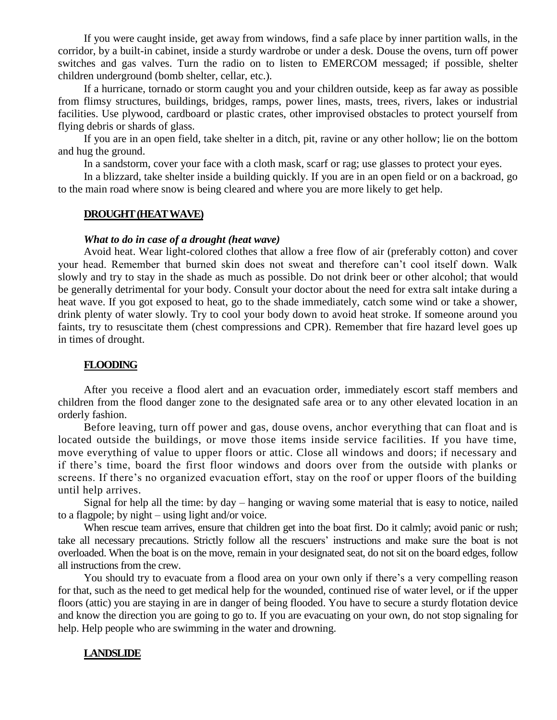If you were caught inside, get away from windows, find a safe place by inner partition walls, in the corridor, by a built-in cabinet, inside a sturdy wardrobe or under a desk. Douse the ovens, turn off power switches and gas valves. Turn the radio on to listen to EMERCOM messaged; if possible, shelter children underground (bomb shelter, cellar, etc.).

If a hurricane, tornado or storm caught you and your children outside, keep as far away as possible from flimsy structures, buildings, bridges, ramps, power lines, masts, trees, rivers, lakes or industrial facilities. Use plywood, cardboard or plastic crates, other improvised obstacles to protect yourself from flying debris or shards of glass.

If you are in an open field, take shelter in a ditch, pit, ravine or any other hollow; lie on the bottom and hug the ground.

In a sandstorm, cover your face with a cloth mask, scarf or rag; use glasses to protect your eyes.

In a blizzard, take shelter inside a building quickly. If you are in an open field or on a backroad, go to the main road where snow is being cleared and where you are more likely to get help.

#### **DROUGHT (HEAT WAVE)**

#### *What to do in case of a drought (heat wave)*

Avoid heat. Wear light-colored clothes that allow a free flow of air (preferably cotton) and cover your head. Remember that burned skin does not sweat and therefore can't cool itself down. Walk slowly and try to stay in the shade as much as possible. Do not drink beer or other alcohol; that would be generally detrimental for your body. Consult your doctor about the need for extra salt intake during a heat wave. If you got exposed to heat, go to the shade immediately, catch some wind or take a shower, drink plenty of water slowly. Try to cool your body down to avoid heat stroke. If someone around you faints, try to resuscitate them (chest compressions and CPR). Remember that fire hazard level goes up in times of drought.

### **FLOODING**

After you receive a flood alert and an evacuation order, immediately escort staff members and children from the flood danger zone to the designated safe area or to any other elevated location in an orderly fashion.

Before leaving, turn off power and gas, douse ovens, anchor everything that can float and is located outside the buildings, or move those items inside service facilities. If you have time, move everything of value to upper floors or attic. Close all windows and doors; if necessary and if there's time, board the first floor windows and doors over from the outside with planks or screens. If there's no organized evacuation effort, stay on the roof or upper floors of the building until help arrives.

Signal for help all the time: by day – hanging or waving some material that is easy to notice, nailed to a flagpole; by night – using light and/or voice.

When rescue team arrives, ensure that children get into the boat first. Do it calmly; avoid panic or rush; take all necessary precautions. Strictly follow all the rescuers' instructions and make sure the boat is not overloaded. When the boat is on the move, remain in your designated seat, do not sit on the board edges, follow all instructions from the crew.

You should try to evacuate from a flood area on your own only if there's a very compelling reason for that, such as the need to get medical help for the wounded, continued rise of water level, or if the upper floors (attic) you are staying in are in danger of being flooded. You have to secure a sturdy flotation device and know the direction you are going to go to. If you are evacuating on your own, do not stop signaling for help. Help people who are swimming in the water and drowning.

### **LANDSLIDE**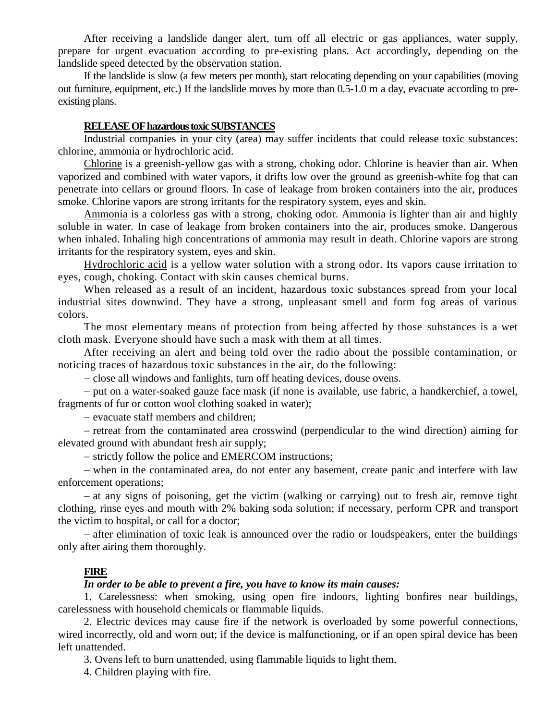After receiving a landslide danger alert, turn off all electric or gas appliances, water supply, prepare for urgent evacuation according to pre-existing plans. Act accordingly, depending on the landslide speed detected by the observation station.

If the landslide is slow (a few meters per month), start relocating depending on your capabilities (moving out furniture, equipment, etc.) If the landslide moves by more than 0.5-1.0 m a day, evacuate according to preexisting plans.

### **RELEASE OF hazardous toxic SUBSTANCES**

Industrial companies in your city (area) may suffer incidents that could release toxic substances: chlorine, ammonia or hydrochloric acid.

Chlorine is a greenish-yellow gas with a strong, choking odor. Chlorine is heavier than air. When vaporized and combined with water vapors, it drifts low over the ground as greenish-white fog that can penetrate into cellars or ground floors. In case of leakage from broken containers into the air, produces smoke. Chlorine vapors are strong irritants for the respiratory system, eyes and skin.

Ammonia is a colorless gas with a strong, choking odor. Ammonia is lighter than air and highly soluble in water. In case of leakage from broken containers into the air, produces smoke. Dangerous when inhaled. Inhaling high concentrations of ammonia may result in death. Chlorine vapors are strong irritants for the respiratory system, eyes and skin.

Hydrochloric acid is a yellow water solution with a strong odor. Its vapors cause irritation to eyes, cough, choking. Contact with skin causes chemical burns.

When released as a result of an incident, hazardous toxic substances spread from your local industrial sites downwind. They have a strong, unpleasant smell and form fog areas of various colors.

The most elementary means of protection from being affected by those substances is a wet cloth mask. Everyone should have such a mask with them at all times.

After receiving an alert and being told over the radio about the possible contamination, or noticing traces of hazardous toxic substances in the air, do the following:

- close all windows and fanlights, turn off heating devices, douse ovens.

- put on a water-soaked gauze face mask (if none is available, use fabric, a handkerchief, a towel, fragments of fur or cotton wool clothing soaked in water);

- evacuate staff members and children;

- retreat from the contaminated area crosswind (perpendicular to the wind direction) aiming for elevated ground with abundant fresh air supply;

- strictly follow the police and EMERCOM instructions;

- when in the contaminated area, do not enter any basement, create panic and interfere with law enforcement operations;

 at any signs of poisoning, get the victim (walking or carrying) out to fresh air, remove tight clothing, rinse eyes and mouth with 2% baking soda solution; if necessary, perform CPR and transport the victim to hospital, or call for a doctor;

 after elimination of toxic leak is announced over the radio or loudspeakers, enter the buildings only after airing them thoroughly.

#### **FIRE**

#### *In order to be able to prevent a fire, you have to know its main causes:*

1. Carelessness: when smoking, using open fire indoors, lighting bonfires near buildings, carelessness with household chemicals or flammable liquids.

2. Electric devices may cause fire if the network is overloaded by some powerful connections, wired incorrectly, old and worn out; if the device is malfunctioning, or if an open spiral device has been left unattended.

3. Ovens left to burn unattended, using flammable liquids to light them.

4. Children playing with fire.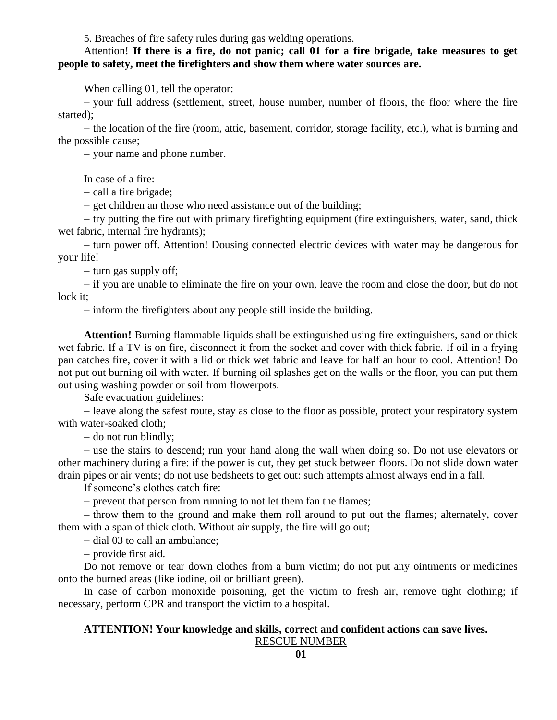5. Breaches of fire safety rules during gas welding operations.

## Attention! **If there is a fire, do not panic; call 01 for a fire brigade, take measures to get people to safety, meet the firefighters and show them where water sources are.**

When calling 01, tell the operator:

 your full address (settlement, street, house number, number of floors, the floor where the fire started);

- the location of the fire (room, attic, basement, corridor, storage facility, etc.), what is burning and the possible cause;

- your name and phone number.

In case of a fire:

 $-$  call a fire brigade;

- get children an those who need assistance out of the building;

- try putting the fire out with primary firefighting equipment (fire extinguishers, water, sand, thick wet fabric, internal fire hydrants);

- turn power off. Attention! Dousing connected electric devices with water may be dangerous for your life!

 $-$  turn gas supply off;

 if you are unable to eliminate the fire on your own, leave the room and close the door, but do not lock it;

- inform the firefighters about any people still inside the building.

**Attention!** Burning flammable liquids shall be extinguished using fire extinguishers, sand or thick wet fabric. If a TV is on fire, disconnect it from the socket and cover with thick fabric. If oil in a frying pan catches fire, cover it with a lid or thick wet fabric and leave for half an hour to cool. Attention! Do not put out burning oil with water. If burning oil splashes get on the walls or the floor, you can put them out using washing powder or soil from flowerpots.

Safe evacuation guidelines:

– leave along the safest route, stay as close to the floor as possible, protect your respiratory system with water-soaked cloth;

 $-$  do not run blindly;

– use the stairs to descend; run your hand along the wall when doing so. Do not use elevators or other machinery during a fire: if the power is cut, they get stuck between floors. Do not slide down water drain pipes or air vents; do not use bedsheets to get out: such attempts almost always end in a fall.

If someone's clothes catch fire:

- prevent that person from running to not let them fan the flames;

- throw them to the ground and make them roll around to put out the flames; alternately, cover them with a span of thick cloth. Without air supply, the fire will go out;

- dial 03 to call an ambulance:

- provide first aid.

Do not remove or tear down clothes from a burn victim; do not put any ointments or medicines onto the burned areas (like iodine, oil or brilliant green).

In case of carbon monoxide poisoning, get the victim to fresh air, remove tight clothing; if necessary, perform CPR and transport the victim to a hospital.

### **ATTENTION! Your knowledge and skills, correct and confident actions can save lives.** RESCUE NUMBER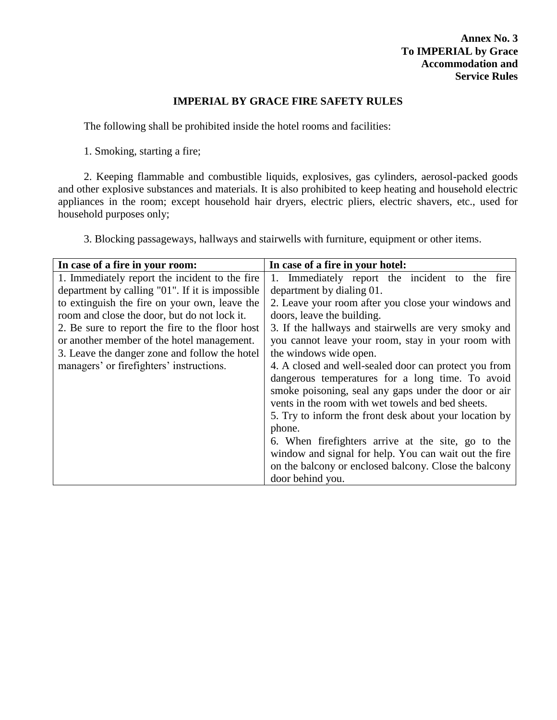## **IMPERIAL BY GRACE FIRE SAFETY RULES**

The following shall be prohibited inside the hotel rooms and facilities:

1. Smoking, starting a fire;

2. Keeping flammable and combustible liquids, explosives, gas cylinders, aerosol-packed goods and other explosive substances and materials. It is also prohibited to keep heating and household electric appliances in the room; except household hair dryers, electric pliers, electric shavers, etc., used for household purposes only;

3. Blocking passageways, hallways and stairwells with furniture, equipment or other items.

| In case of a fire in your room:                 | In case of a fire in your hotel:                       |  |  |  |  |
|-------------------------------------------------|--------------------------------------------------------|--|--|--|--|
| 1. Immediately report the incident to the fire  | 1. Immediately report the incident to the<br>fire      |  |  |  |  |
| department by calling "01". If it is impossible | department by dialing 01.                              |  |  |  |  |
| to extinguish the fire on your own, leave the   | 2. Leave your room after you close your windows and    |  |  |  |  |
| room and close the door, but do not lock it.    | doors, leave the building.                             |  |  |  |  |
| 2. Be sure to report the fire to the floor host | 3. If the hallways and stairwells are very smoky and   |  |  |  |  |
| or another member of the hotel management.      | you cannot leave your room, stay in your room with     |  |  |  |  |
| 3. Leave the danger zone and follow the hotel   | the windows wide open.                                 |  |  |  |  |
| managers' or firefighters' instructions.        | 4. A closed and well-sealed door can protect you from  |  |  |  |  |
|                                                 | dangerous temperatures for a long time. To avoid       |  |  |  |  |
|                                                 | smoke poisoning, seal any gaps under the door or air   |  |  |  |  |
|                                                 | vents in the room with wet towels and bed sheets.      |  |  |  |  |
|                                                 | 5. Try to inform the front desk about your location by |  |  |  |  |
|                                                 | phone.                                                 |  |  |  |  |
|                                                 | 6. When firefighters arrive at the site, go to the     |  |  |  |  |
|                                                 | window and signal for help. You can wait out the fire  |  |  |  |  |
|                                                 | on the balcony or enclosed balcony. Close the balcony  |  |  |  |  |
|                                                 | door behind you.                                       |  |  |  |  |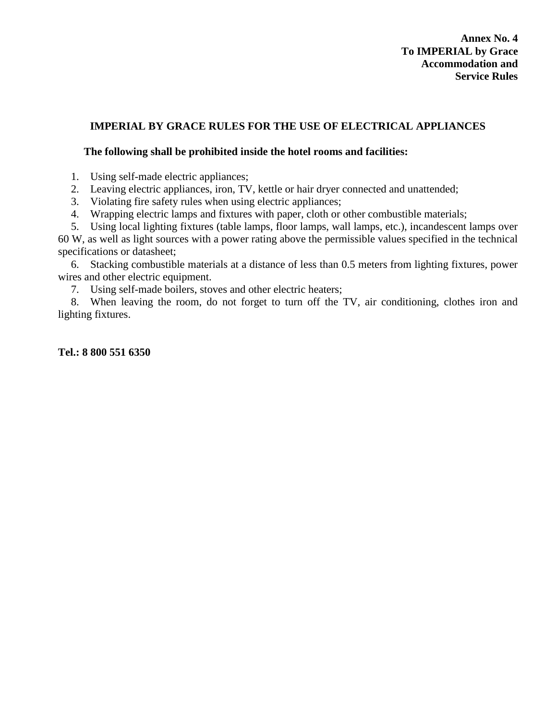# **IMPERIAL BY GRACE RULES FOR THE USE OF ELECTRICAL APPLIANCES**

## **The following shall be prohibited inside the hotel rooms and facilities:**

- 1. Using self-made electric appliances;
- 2. Leaving electric appliances, iron, TV, kettle or hair dryer connected and unattended;
- 3. Violating fire safety rules when using electric appliances;
- 4. Wrapping electric lamps and fixtures with paper, cloth or other combustible materials;

5. Using local lighting fixtures (table lamps, floor lamps, wall lamps, etc.), incandescent lamps over 60 W, as well as light sources with a power rating above the permissible values specified in the technical specifications or datasheet;

6. Stacking combustible materials at a distance of less than 0.5 meters from lighting fixtures, power wires and other electric equipment.

7. Using self-made boilers, stoves and other electric heaters;

8. When leaving the room, do not forget to turn off the TV, air conditioning, clothes iron and lighting fixtures.

**Tel.: 8 800 551 6350**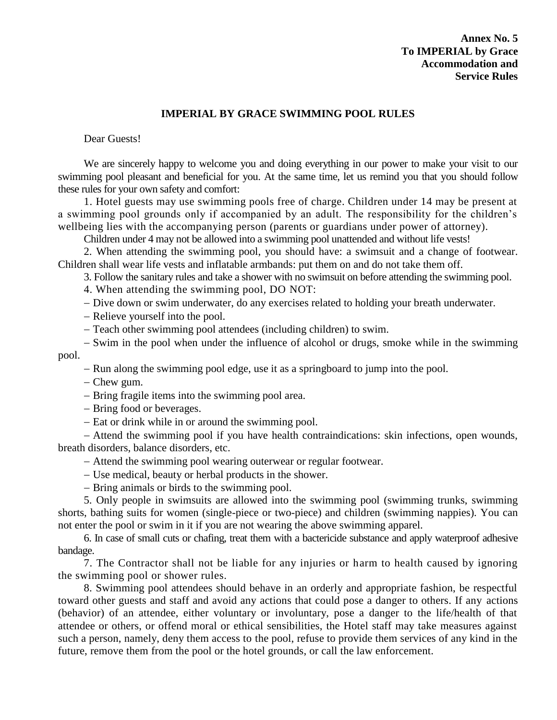# **Annex No. 5 To IMPERIAL by Grace Accommodation and Service Rules**

### **IMPERIAL BY GRACE SWIMMING POOL RULES**

Dear Guests!

We are sincerely happy to welcome you and doing everything in our power to make your visit to our swimming pool pleasant and beneficial for you. At the same time, let us remind you that you should follow these rules for your own safety and comfort:

1. Hotel guests may use swimming pools free of charge. Children under 14 may be present at a swimming pool grounds only if accompanied by an adult. The responsibility for the children's wellbeing lies with the accompanying person (parents or guardians under power of attorney).

Children under 4 may not be allowed into a swimming pool unattended and without life vests!

2. When attending the swimming pool, you should have: a swimsuit and a change of footwear. Children shall wear life vests and inflatable armbands: put them on and do not take them off.

3. Follow the sanitary rules and take a shower with no swimsuit on before attending the swimming pool.

4. When attending the swimming pool, DO NOT:

- Dive down or swim underwater, do any exercises related to holding your breath underwater.

Relieve yourself into the pool.

Teach other swimming pool attendees (including children) to swim.

- Swim in the pool when under the influence of alcohol or drugs, smoke while in the swimming pool.

- Run along the swimming pool edge, use it as a springboard to jump into the pool.

– Chew gum.

- Bring fragile items into the swimming pool area.

- Bring food or beverages.

- Eat or drink while in or around the swimming pool.

 Attend the swimming pool if you have health contraindications: skin infections, open wounds, breath disorders, balance disorders, etc.

Attend the swimming pool wearing outerwear or regular footwear.

Use medical, beauty or herbal products in the shower.

- Bring animals or birds to the swimming pool.

5. Only people in swimsuits are allowed into the swimming pool (swimming trunks, swimming shorts, bathing suits for women (single-piece or two-piece) and children (swimming nappies). You can not enter the pool or swim in it if you are not wearing the above swimming apparel.

6. In case of small cuts or chafing, treat them with a bactericide substance and apply waterproof adhesive bandage.

7. The Contractor shall not be liable for any injuries or harm to health caused by ignoring the swimming pool or shower rules.

8. Swimming pool attendees should behave in an orderly and appropriate fashion, be respectful toward other guests and staff and avoid any actions that could pose a danger to others. If any actions (behavior) of an attendee, either voluntary or involuntary, pose a danger to the life/health of that attendee or others, or offend moral or ethical sensibilities, the Hotel staff may take measures against such a person, namely, deny them access to the pool, refuse to provide them services of any kind in the future, remove them from the pool or the hotel grounds, or call the law enforcement.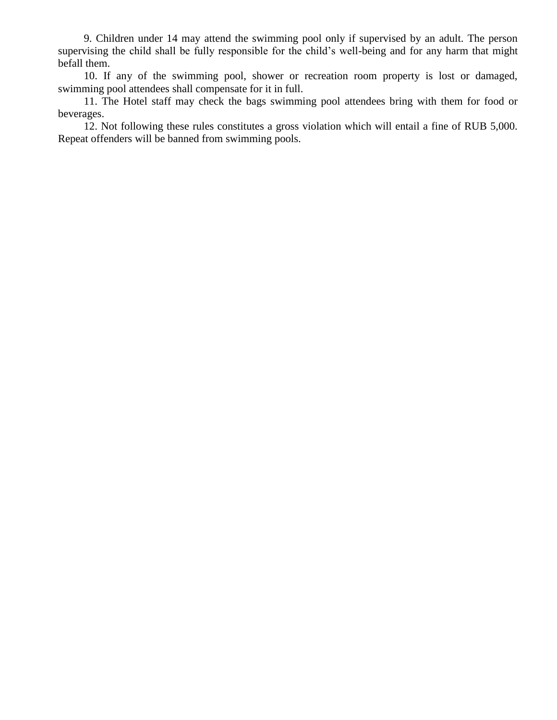9. Children under 14 may attend the swimming pool only if supervised by an adult. The person supervising the child shall be fully responsible for the child's well-being and for any harm that might befall them.

10. If any of the swimming pool, shower or recreation room property is lost or damaged, swimming pool attendees shall compensate for it in full.

11. The Hotel staff may check the bags swimming pool attendees bring with them for food or beverages.

12. Not following these rules constitutes a gross violation which will entail a fine of RUB 5,000. Repeat offenders will be banned from swimming pools.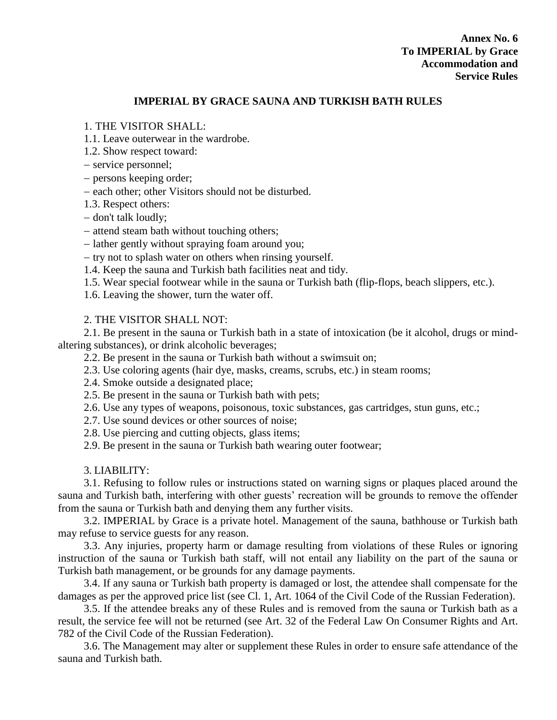# **IMPERIAL BY GRACE SAUNA AND TURKISH BATH RULES**

## 1. THE VISITOR SHALL:

1.1. Leave outerwear in the wardrobe.

1.2. Show respect toward:

- service personnel;

- persons keeping order;

– each other; other Visitors should not be disturbed.

1.3. Respect others:

- don't talk loudly;

- attend steam bath without touching others;

- lather gently without spraying foam around you;

 $-$  try not to splash water on others when rinsing yourself.

1.4. Keep the sauna and Turkish bath facilities neat and tidy.

1.5. Wear special footwear while in the sauna or Turkish bath (flip-flops, beach slippers, etc.).

1.6. Leaving the shower, turn the water off.

# 2. THE VISITOR SHALL NOT:

2.1. Be present in the sauna or Turkish bath in a state of intoxication (be it alcohol, drugs or mindaltering substances), or drink alcoholic beverages;

2.2. Be present in the sauna or Turkish bath without a swimsuit on;

- 2.3. Use coloring agents (hair dye, masks, creams, scrubs, etc.) in steam rooms;
- 2.4. Smoke outside a designated place;
- 2.5. Be present in the sauna or Turkish bath with pets;
- 2.6. Use any types of weapons, poisonous, toxic substances, gas cartridges, stun guns, etc.;
- 2.7. Use sound devices or other sources of noise;
- 2.8. Use piercing and cutting objects, glass items;
- 2.9. Be present in the sauna or Turkish bath wearing outer footwear;

## 3. LIABILITY:

3.1. Refusing to follow rules or instructions stated on warning signs or plaques placed around the sauna and Turkish bath, interfering with other guests' recreation will be grounds to remove the offender from the sauna or Turkish bath and denying them any further visits.

3.2. IMPERIAL by Grace is a private hotel. Management of the sauna, bathhouse or Turkish bath may refuse to service guests for any reason.

3.3. Any injuries, property harm or damage resulting from violations of these Rules or ignoring instruction of the sauna or Turkish bath staff, will not entail any liability on the part of the sauna or Turkish bath management, or be grounds for any damage payments.

3.4. If any sauna or Turkish bath property is damaged or lost, the attendee shall compensate for the damages as per the approved price list (see Cl. 1, Art. 1064 of the Civil Code of the Russian Federation).

3.5. If the attendee breaks any of these Rules and is removed from the sauna or Turkish bath as a result, the service fee will not be returned (see Art. 32 of the Federal Law On Consumer Rights and Art. 782 of the Civil Code of the Russian Federation).

3.6. The Management may alter or supplement these Rules in order to ensure safe attendance of the sauna and Turkish bath.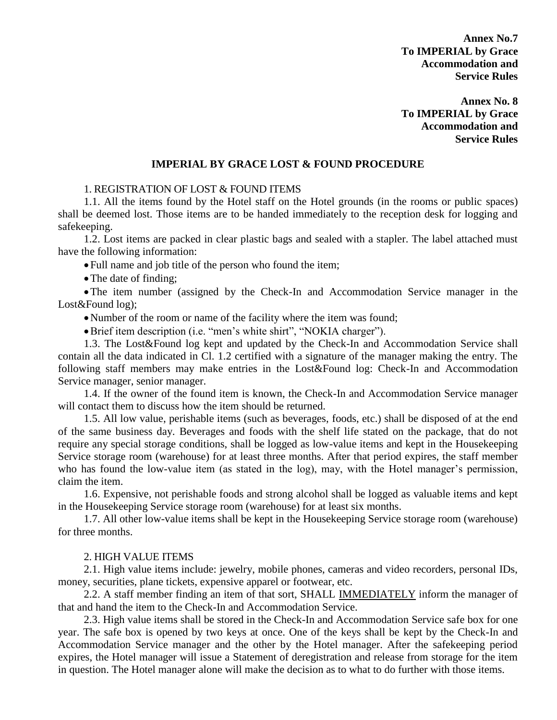**Annex No.7 To IMPERIAL by Grace Accommodation and Service Rules**

**Annex No. 8 To IMPERIAL by Grace Accommodation and Service Rules**

#### **IMPERIAL BY GRACE LOST & FOUND PROCEDURE**

#### 1. REGISTRATION OF LOST & FOUND ITEMS

1.1. All the items found by the Hotel staff on the Hotel grounds (in the rooms or public spaces) shall be deemed lost. Those items are to be handed immediately to the reception desk for logging and safekeeping.

1.2. Lost items are packed in clear plastic bags and sealed with a stapler. The label attached must have the following information:

Full name and job title of the person who found the item;

• The date of finding;

The item number (assigned by the Check-In and Accommodation Service manager in the Lost&Found log);

Number of the room or name of the facility where the item was found;

Brief item description (i.e. "men's white shirt", "NOKIA charger").

1.3. The Lost&Found log kept and updated by the Check-In and Accommodation Service shall contain all the data indicated in Cl. 1.2 certified with a signature of the manager making the entry. The following staff members may make entries in the Lost&Found log: Check-In and Accommodation Service manager, senior manager.

1.4. If the owner of the found item is known, the Check-In and Accommodation Service manager will contact them to discuss how the item should be returned.

1.5. All low value, perishable items (such as beverages, foods, etc.) shall be disposed of at the end of the same business day. Beverages and foods with the shelf life stated on the package, that do not require any special storage conditions, shall be logged as low-value items and kept in the Housekeeping Service storage room (warehouse) for at least three months. After that period expires, the staff member who has found the low-value item (as stated in the log), may, with the Hotel manager's permission, claim the item.

1.6. Expensive, not perishable foods and strong alcohol shall be logged as valuable items and kept in the Housekeeping Service storage room (warehouse) for at least six months.

1.7. All other low-value items shall be kept in the Housekeeping Service storage room (warehouse) for three months.

#### 2. HIGH VALUE ITEMS

2.1. High value items include: jewelry, mobile phones, cameras and video recorders, personal IDs, money, securities, plane tickets, expensive apparel or footwear, etc.

2.2. A staff member finding an item of that sort, SHALL IMMEDIATELY inform the manager of that and hand the item to the Check-In and Accommodation Service.

2.3. High value items shall be stored in the Check-In and Accommodation Service safe box for one year. The safe box is opened by two keys at once. One of the keys shall be kept by the Check-In and Accommodation Service manager and the other by the Hotel manager. After the safekeeping period expires, the Hotel manager will issue a Statement of deregistration and release from storage for the item in question. The Hotel manager alone will make the decision as to what to do further with those items.